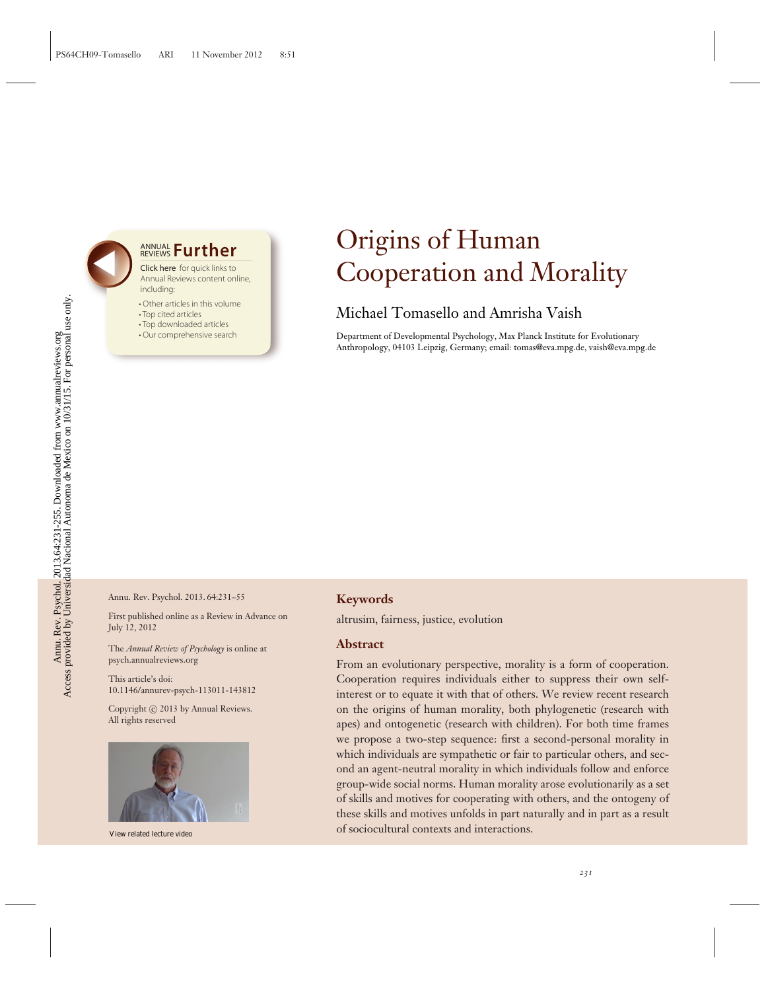## **ANNUAL Further**

Click here for quick links to Annual Reviews content online, including:

- Other articles in this volume
- Top cited articles
- Top downloaded articles
- Our comprehensive search

# Origins of Human Cooperation and Morality

## Michael Tomasello and Amrisha Vaish

Department of Developmental Psychology, Max Planck Institute for Evolutionary Anthropology, 04103 Leipzig, Germany; email: tomas@eva.mpg.de, vaish@eva.mpg.de

Annu. Rev. Psychol. 2013. 64:231–55

First published online as a Review in Advance on July 12, 2012

The *Annual Review of Psychology* is online at psych.annualreviews.org

This article's doi: 10.1146/annurev-psych-113011-143812

Copyright © 2013 by Annual Reviews. All rights reserved



[View related lecture video](https://vimeo.com/55035079)

#### **Keywords**

altrusim, fairness, justice, evolution

#### **Abstract**

From an evolutionary perspective, morality is a form of cooperation. Cooperation requires individuals either to suppress their own selfinterest or to equate it with that of others. We review recent research on the origins of human morality, both phylogenetic (research with apes) and ontogenetic (research with children). For both time frames we propose a two-step sequence: first a second-personal morality in which individuals are sympathetic or fair to particular others, and second an agent-neutral morality in which individuals follow and enforce group-wide social norms. Human morality arose evolutionarily as a set of skills and motives for cooperating with others, and the ontogeny of these skills and motives unfolds in part naturally and in part as a result of sociocultural contexts and interactions.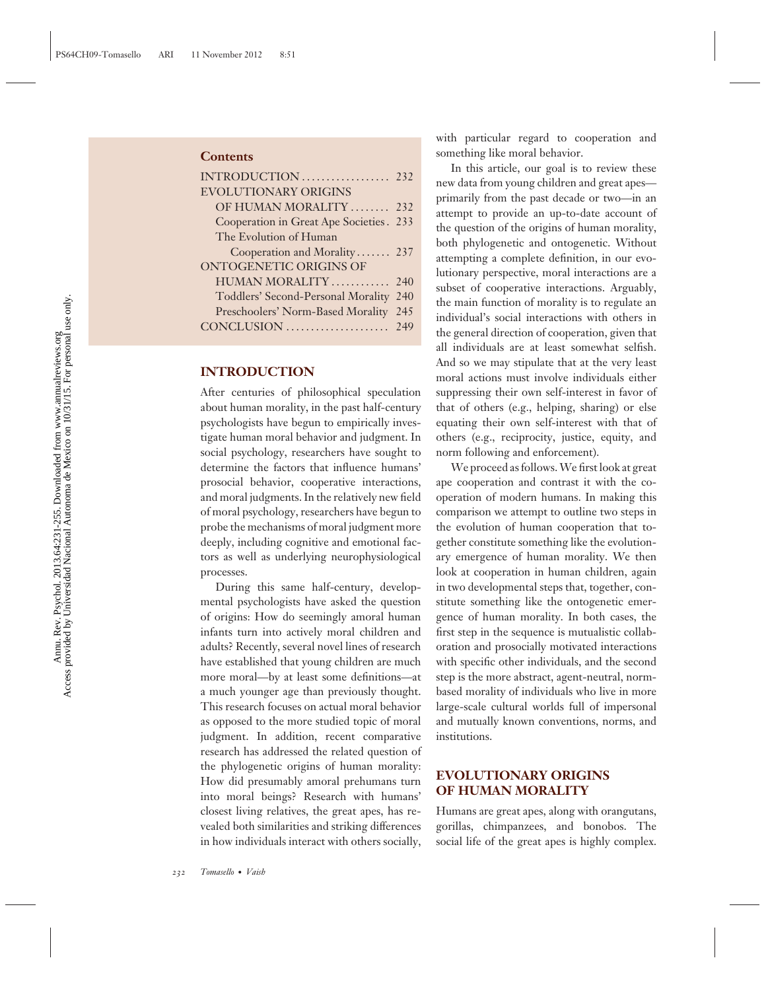| <b>EVOLUTIONARY ORIGINS</b>             |  |
|-----------------------------------------|--|
| OF HUMAN MORALITY  232                  |  |
| Cooperation in Great Ape Societies. 233 |  |
| The Evolution of Human                  |  |
| Cooperation and Morality 237            |  |
| ONTOGENETIC ORIGINS OF                  |  |
| HUMAN MORALITY 240                      |  |
| Toddlers' Second-Personal Morality 240  |  |
| Preschoolers' Norm-Based Morality 245   |  |
|                                         |  |
|                                         |  |

#### **INTRODUCTION**

After centuries of philosophical speculation about human morality, in the past half-century psychologists have begun to empirically investigate human moral behavior and judgment. In social psychology, researchers have sought to determine the factors that influence humans' prosocial behavior, cooperative interactions, and moral judgments. In the relatively new field of moral psychology, researchers have begun to probe the mechanisms of moral judgment more deeply, including cognitive and emotional factors as well as underlying neurophysiological processes.

During this same half-century, developmental psychologists have asked the question of origins: How do seemingly amoral human infants turn into actively moral children and adults? Recently, several novel lines of research have established that young children are much more moral—by at least some definitions—at a much younger age than previously thought. This research focuses on actual moral behavior as opposed to the more studied topic of moral judgment. In addition, recent comparative research has addressed the related question of the phylogenetic origins of human morality: How did presumably amoral prehumans turn into moral beings? Research with humans' closest living relatives, the great apes, has revealed both similarities and striking differences in how individuals interact with others socially,

with particular regard to cooperation and something like moral behavior.

In this article, our goal is to review these new data from young children and great apes primarily from the past decade or two—in an attempt to provide an up-to-date account of the question of the origins of human morality, both phylogenetic and ontogenetic. Without attempting a complete definition, in our evolutionary perspective, moral interactions are a subset of cooperative interactions. Arguably, the main function of morality is to regulate an individual's social interactions with others in the general direction of cooperation, given that all individuals are at least somewhat selfish. And so we may stipulate that at the very least moral actions must involve individuals either suppressing their own self-interest in favor of that of others (e.g., helping, sharing) or else equating their own self-interest with that of others (e.g., reciprocity, justice, equity, and norm following and enforcement).

We proceed as follows.We first look at great ape cooperation and contrast it with the cooperation of modern humans. In making this comparison we attempt to outline two steps in the evolution of human cooperation that together constitute something like the evolutionary emergence of human morality. We then look at cooperation in human children, again in two developmental steps that, together, constitute something like the ontogenetic emergence of human morality. In both cases, the first step in the sequence is mutualistic collaboration and prosocially motivated interactions with specific other individuals, and the second step is the more abstract, agent-neutral, normbased morality of individuals who live in more large-scale cultural worlds full of impersonal and mutually known conventions, norms, and institutions.

#### **EVOLUTIONARY ORIGINS OF HUMAN MORALITY**

Humans are great apes, along with orangutans, gorillas, chimpanzees, and bonobos. The social life of the great apes is highly complex.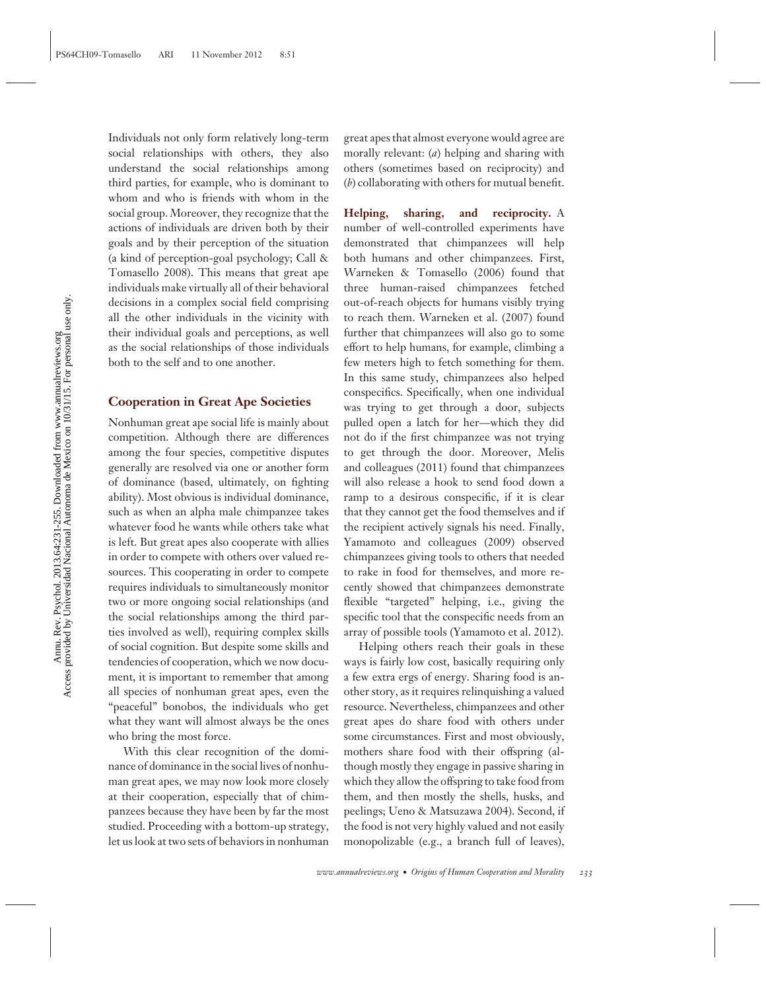Individuals not only form relatively long-term social relationships with others, they also understand the social relationships among third parties, for example, who is dominant to whom and who is friends with whom in the social group. Moreover, they recognize that the actions of individuals are driven both by their goals and by their perception of the situation (a kind of perception-goal psychology; Call & Tomasello 2008). This means that great ape individuals make virtually all of their behavioral decisions in a complex social field comprising all the other individuals in the vicinity with their individual goals and perceptions, as well as the social relationships of those individuals both to the self and to one another.

#### **Cooperation in Great Ape Societies**

Nonhuman great ape social life is mainly about competition. Although there are differences among the four species, competitive disputes generally are resolved via one or another form of dominance (based, ultimately, on fighting ability). Most obvious is individual dominance, such as when an alpha male chimpanzee takes whatever food he wants while others take what is left. But great apes also cooperate with allies in order to compete with others over valued resources. This cooperating in order to compete requires individuals to simultaneously monitor two or more ongoing social relationships (and the social relationships among the third parties involved as well), requiring complex skills of social cognition. But despite some skills and tendencies of cooperation, which we now document, it is important to remember that among all species of nonhuman great apes, even the "peaceful" bonobos, the individuals who get what they want will almost always be the ones who bring the most force.

With this clear recognition of the dominance of dominance in the social lives of nonhuman great apes, we may now look more closely at their cooperation, especially that of chimpanzees because they have been by far the most studied. Proceeding with a bottom-up strategy, let us look at two sets of behaviors in nonhuman great apes that almost everyone would agree are morally relevant: (*a*) helping and sharing with others (sometimes based on reciprocity) and (*b*) collaborating with others for mutual benefit.

**Helping, sharing, and reciprocity.** A number of well-controlled experiments have demonstrated that chimpanzees will help both humans and other chimpanzees. First, Warneken & Tomasello (2006) found that three human-raised chimpanzees fetched out-of-reach objects for humans visibly trying to reach them. Warneken et al. (2007) found further that chimpanzees will also go to some effort to help humans, for example, climbing a few meters high to fetch something for them. In this same study, chimpanzees also helped conspecifics. Specifically, when one individual was trying to get through a door, subjects pulled open a latch for her—which they did not do if the first chimpanzee was not trying to get through the door. Moreover, Melis and colleagues (2011) found that chimpanzees will also release a hook to send food down a ramp to a desirous conspecific, if it is clear that they cannot get the food themselves and if the recipient actively signals his need. Finally, Yamamoto and colleagues (2009) observed chimpanzees giving tools to others that needed to rake in food for themselves, and more recently showed that chimpanzees demonstrate flexible "targeted" helping, i.e., giving the specific tool that the conspecific needs from an array of possible tools (Yamamoto et al. 2012).

Helping others reach their goals in these ways is fairly low cost, basically requiring only a few extra ergs of energy. Sharing food is another story, as it requires relinquishing a valued resource. Nevertheless, chimpanzees and other great apes do share food with others under some circumstances. First and most obviously, mothers share food with their offspring (although mostly they engage in passive sharing in which they allow the offspring to take food from them, and then mostly the shells, husks, and peelings; Ueno & Matsuzawa 2004). Second, if the food is not very highly valued and not easily monopolizable (e.g., a branch full of leaves),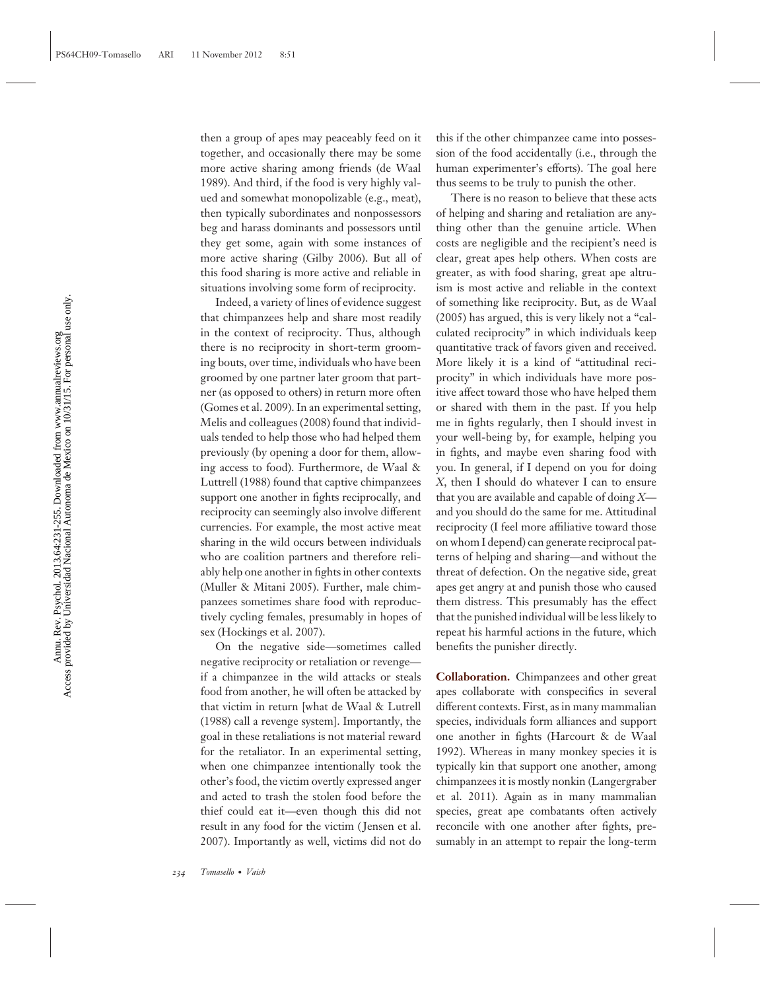together, and occasionally there may be some more active sharing among friends (de Waal 1989). And third, if the food is very highly valued and somewhat monopolizable (e.g., meat), then typically subordinates and nonpossessors beg and harass dominants and possessors until they get some, again with some instances of more active sharing (Gilby 2006). But all of this food sharing is more active and reliable in situations involving some form of reciprocity. Indeed, a variety of lines of evidence suggest

then a group of apes may peaceably feed on it

that chimpanzees help and share most readily in the context of reciprocity. Thus, although there is no reciprocity in short-term grooming bouts, over time, individuals who have been groomed by one partner later groom that partner (as opposed to others) in return more often (Gomes et al. 2009). In an experimental setting, Melis and colleagues (2008) found that individuals tended to help those who had helped them previously (by opening a door for them, allowing access to food). Furthermore, de Waal & Luttrell (1988) found that captive chimpanzees support one another in fights reciprocally, and reciprocity can seemingly also involve different currencies. For example, the most active meat sharing in the wild occurs between individuals who are coalition partners and therefore reliably help one another in fights in other contexts (Muller & Mitani 2005). Further, male chimpanzees sometimes share food with reproductively cycling females, presumably in hopes of sex (Hockings et al. 2007).

On the negative side—sometimes called negative reciprocity or retaliation or revenge if a chimpanzee in the wild attacks or steals food from another, he will often be attacked by that victim in return [what de Waal & Lutrell (1988) call a revenge system]. Importantly, the goal in these retaliations is not material reward for the retaliator. In an experimental setting, when one chimpanzee intentionally took the other's food, the victim overtly expressed anger and acted to trash the stolen food before the thief could eat it—even though this did not result in any food for the victim ( Jensen et al. 2007). Importantly as well, victims did not do this if the other chimpanzee came into possession of the food accidentally (i.e., through the human experimenter's efforts). The goal here thus seems to be truly to punish the other.

There is no reason to believe that these acts of helping and sharing and retaliation are anything other than the genuine article. When costs are negligible and the recipient's need is clear, great apes help others. When costs are greater, as with food sharing, great ape altruism is most active and reliable in the context of something like reciprocity. But, as de Waal (2005) has argued, this is very likely not a "calculated reciprocity" in which individuals keep quantitative track of favors given and received. More likely it is a kind of "attitudinal reciprocity" in which individuals have more positive affect toward those who have helped them or shared with them in the past. If you help me in fights regularly, then I should invest in your well-being by, for example, helping you in fights, and maybe even sharing food with you. In general, if I depend on you for doing *X*, then I should do whatever I can to ensure that you are available and capable of doing *X* and you should do the same for me. Attitudinal reciprocity (I feel more affiliative toward those on whom I depend) can generate reciprocal patterns of helping and sharing—and without the threat of defection. On the negative side, great apes get angry at and punish those who caused them distress. This presumably has the effect that the punished individual will be less likely to repeat his harmful actions in the future, which benefits the punisher directly.

**Collaboration.** Chimpanzees and other great apes collaborate with conspecifics in several different contexts. First, as in many mammalian species, individuals form alliances and support one another in fights (Harcourt & de Waal 1992). Whereas in many monkey species it is typically kin that support one another, among chimpanzees it is mostly nonkin (Langergraber et al. 2011). Again as in many mammalian species, great ape combatants often actively reconcile with one another after fights, presumably in an attempt to repair the long-term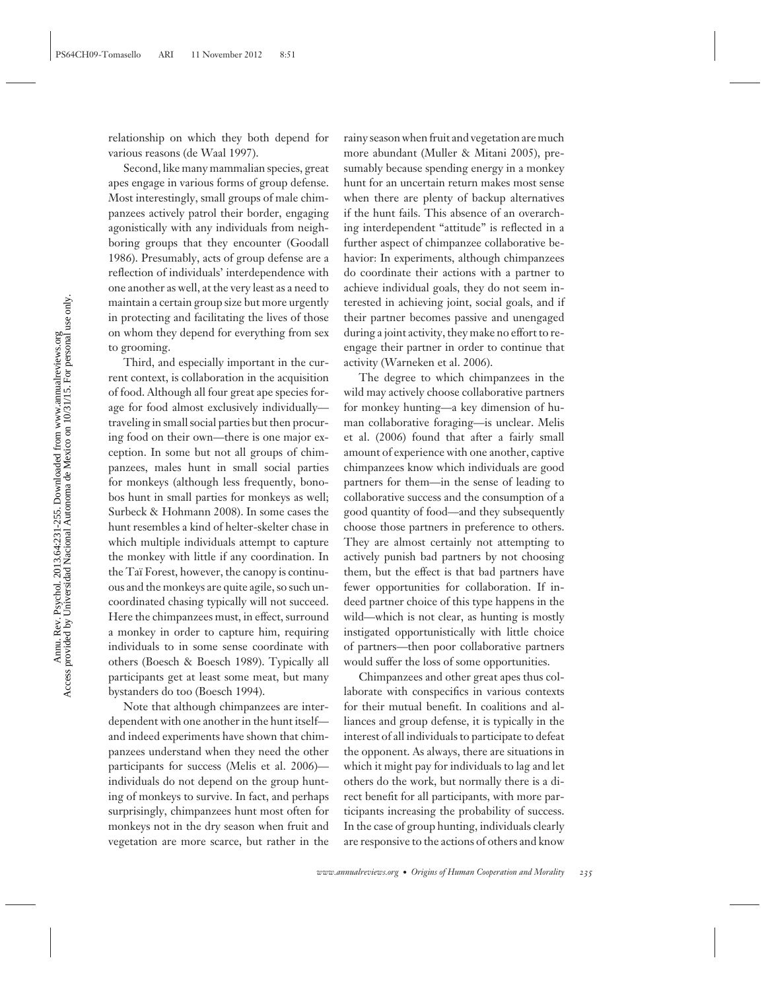relationship on which they both depend for various reasons (de Waal 1997).

Second, like many mammalian species, great apes engage in various forms of group defense. Most interestingly, small groups of male chimpanzees actively patrol their border, engaging agonistically with any individuals from neighboring groups that they encounter (Goodall 1986). Presumably, acts of group defense are a reflection of individuals' interdependence with one another as well, at the very least as a need to maintain a certain group size but more urgently in protecting and facilitating the lives of those on whom they depend for everything from sex to grooming.

Third, and especially important in the current context, is collaboration in the acquisition of food. Although all four great ape species forage for food almost exclusively individually traveling in small social parties but then procuring food on their own—there is one major exception. In some but not all groups of chimpanzees, males hunt in small social parties for monkeys (although less frequently, bonobos hunt in small parties for monkeys as well; Surbeck & Hohmann 2008). In some cases the hunt resembles a kind of helter-skelter chase in which multiple individuals attempt to capture the monkey with little if any coordination. In the Taï Forest, however, the canopy is continuous and the monkeys are quite agile, so such uncoordinated chasing typically will not succeed. Here the chimpanzees must, in effect, surround a monkey in order to capture him, requiring individuals to in some sense coordinate with others (Boesch & Boesch 1989). Typically all participants get at least some meat, but many bystanders do too (Boesch 1994).

Note that although chimpanzees are interdependent with one another in the hunt itself and indeed experiments have shown that chimpanzees understand when they need the other participants for success (Melis et al. 2006) individuals do not depend on the group hunting of monkeys to survive. In fact, and perhaps surprisingly, chimpanzees hunt most often for monkeys not in the dry season when fruit and vegetation are more scarce, but rather in the

rainy season when fruit and vegetation are much more abundant (Muller & Mitani 2005), presumably because spending energy in a monkey hunt for an uncertain return makes most sense when there are plenty of backup alternatives if the hunt fails. This absence of an overarching interdependent "attitude" is reflected in a further aspect of chimpanzee collaborative behavior: In experiments, although chimpanzees do coordinate their actions with a partner to achieve individual goals, they do not seem interested in achieving joint, social goals, and if their partner becomes passive and unengaged during a joint activity, they make no effort to reengage their partner in order to continue that activity (Warneken et al. 2006).

The degree to which chimpanzees in the wild may actively choose collaborative partners for monkey hunting—a key dimension of human collaborative foraging—is unclear. Melis et al. (2006) found that after a fairly small amount of experience with one another, captive chimpanzees know which individuals are good partners for them—in the sense of leading to collaborative success and the consumption of a good quantity of food—and they subsequently choose those partners in preference to others. They are almost certainly not attempting to actively punish bad partners by not choosing them, but the effect is that bad partners have fewer opportunities for collaboration. If indeed partner choice of this type happens in the wild—which is not clear, as hunting is mostly instigated opportunistically with little choice of partners—then poor collaborative partners would suffer the loss of some opportunities.

Chimpanzees and other great apes thus collaborate with conspecifics in various contexts for their mutual benefit. In coalitions and alliances and group defense, it is typically in the interest of all individuals to participate to defeat the opponent. As always, there are situations in which it might pay for individuals to lag and let others do the work, but normally there is a direct benefit for all participants, with more participants increasing the probability of success. In the case of group hunting, individuals clearly are responsive to the actions of others and know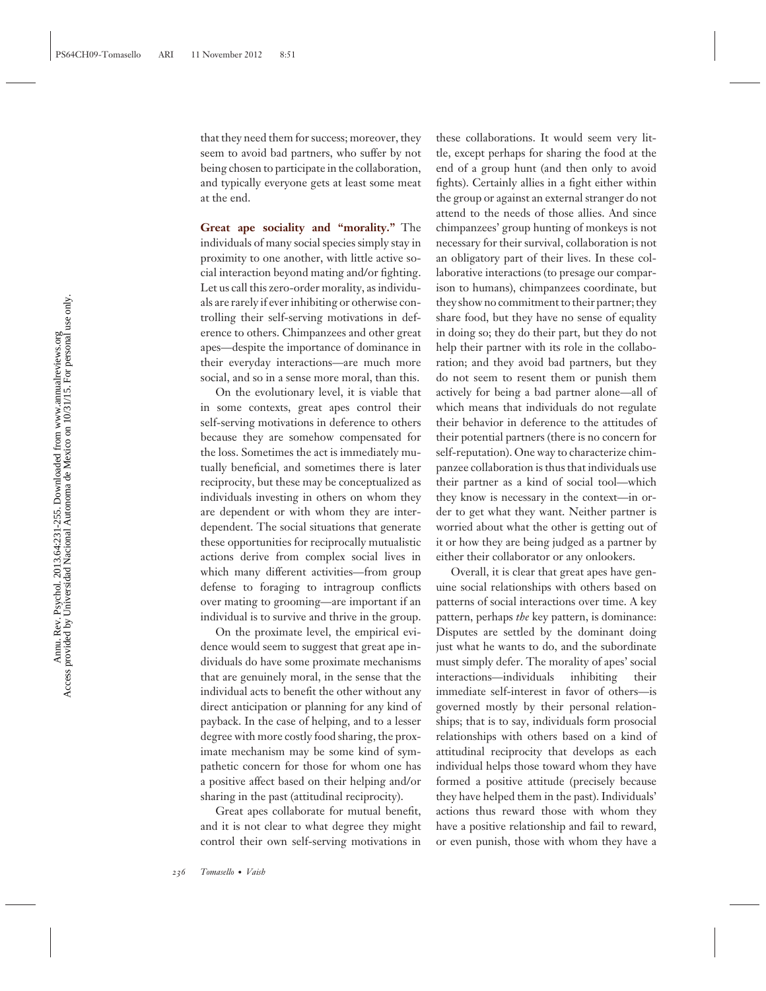that they need them for success; moreover, they seem to avoid bad partners, who suffer by not being chosen to participate in the collaboration, and typically everyone gets at least some meat at the end.

**Great ape sociality and "morality."** The individuals of many social species simply stay in proximity to one another, with little active social interaction beyond mating and/or fighting. Let us call this zero-order morality, as individuals are rarely if ever inhibiting or otherwise controlling their self-serving motivations in deference to others. Chimpanzees and other great apes—despite the importance of dominance in their everyday interactions—are much more social, and so in a sense more moral, than this.

On the evolutionary level, it is viable that in some contexts, great apes control their self-serving motivations in deference to others because they are somehow compensated for the loss. Sometimes the act is immediately mutually beneficial, and sometimes there is later reciprocity, but these may be conceptualized as individuals investing in others on whom they are dependent or with whom they are interdependent. The social situations that generate these opportunities for reciprocally mutualistic actions derive from complex social lives in which many different activities—from group defense to foraging to intragroup conflicts over mating to grooming—are important if an individual is to survive and thrive in the group.

On the proximate level, the empirical evidence would seem to suggest that great ape individuals do have some proximate mechanisms that are genuinely moral, in the sense that the individual acts to benefit the other without any direct anticipation or planning for any kind of payback. In the case of helping, and to a lesser degree with more costly food sharing, the proximate mechanism may be some kind of sympathetic concern for those for whom one has a positive affect based on their helping and/or sharing in the past (attitudinal reciprocity).

Great apes collaborate for mutual benefit, and it is not clear to what degree they might control their own self-serving motivations in

these collaborations. It would seem very little, except perhaps for sharing the food at the end of a group hunt (and then only to avoid fights). Certainly allies in a fight either within the group or against an external stranger do not attend to the needs of those allies. And since chimpanzees' group hunting of monkeys is not necessary for their survival, collaboration is not an obligatory part of their lives. In these collaborative interactions (to presage our comparison to humans), chimpanzees coordinate, but they show no commitment to their partner; they share food, but they have no sense of equality in doing so; they do their part, but they do not help their partner with its role in the collaboration; and they avoid bad partners, but they do not seem to resent them or punish them actively for being a bad partner alone—all of which means that individuals do not regulate their behavior in deference to the attitudes of their potential partners (there is no concern for self-reputation). One way to characterize chimpanzee collaboration is thus that individuals use their partner as a kind of social tool—which they know is necessary in the context—in order to get what they want. Neither partner is worried about what the other is getting out of it or how they are being judged as a partner by either their collaborator or any onlookers.

Overall, it is clear that great apes have genuine social relationships with others based on patterns of social interactions over time. A key pattern, perhaps *the* key pattern, is dominance: Disputes are settled by the dominant doing just what he wants to do, and the subordinate must simply defer. The morality of apes' social interactions—individuals inhibiting their immediate self-interest in favor of others—is governed mostly by their personal relationships; that is to say, individuals form prosocial relationships with others based on a kind of attitudinal reciprocity that develops as each individual helps those toward whom they have formed a positive attitude (precisely because they have helped them in the past). Individuals' actions thus reward those with whom they have a positive relationship and fail to reward, or even punish, those with whom they have a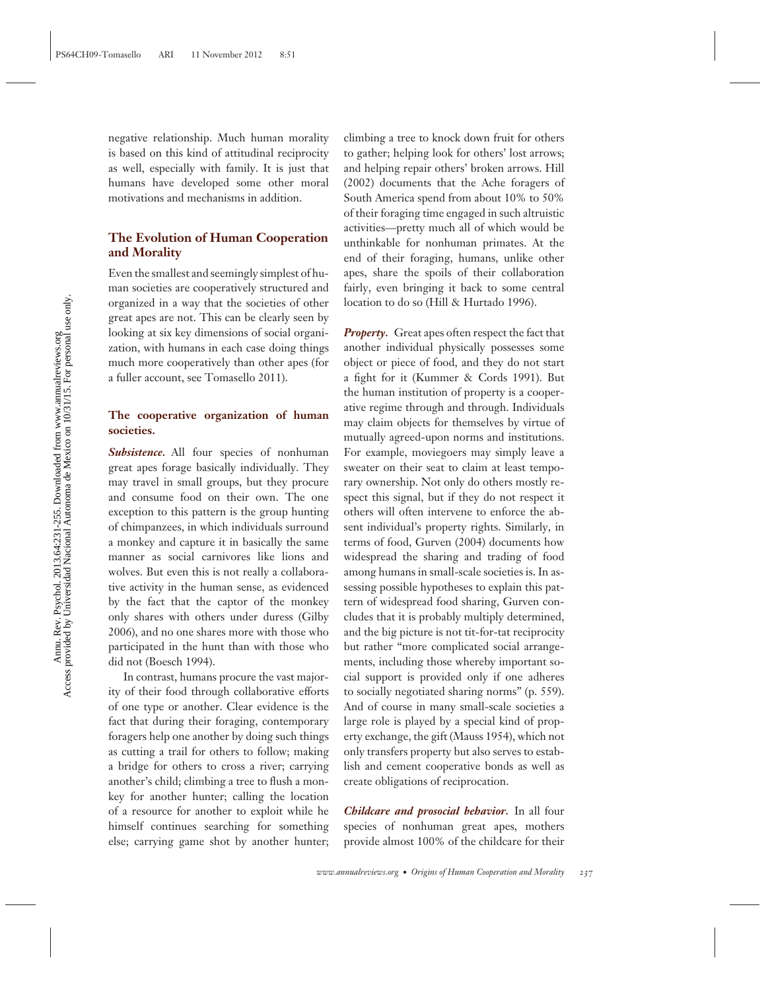negative relationship. Much human morality is based on this kind of attitudinal reciprocity as well, especially with family. It is just that humans have developed some other moral motivations and mechanisms in addition.

#### **The Evolution of Human Cooperation and Morality**

Even the smallest and seemingly simplest of human societies are cooperatively structured and organized in a way that the societies of other great apes are not. This can be clearly seen by looking at six key dimensions of social organization, with humans in each case doing things much more cooperatively than other apes (for a fuller account, see Tomasello 2011).

#### **The cooperative organization of human societies.**

*Subsistence*. All four species of nonhuman great apes forage basically individually. They may travel in small groups, but they procure and consume food on their own. The one exception to this pattern is the group hunting of chimpanzees, in which individuals surround a monkey and capture it in basically the same manner as social carnivores like lions and wolves. But even this is not really a collaborative activity in the human sense, as evidenced by the fact that the captor of the monkey only shares with others under duress (Gilby 2006), and no one shares more with those who participated in the hunt than with those who did not (Boesch 1994).

In contrast, humans procure the vast majority of their food through collaborative efforts of one type or another. Clear evidence is the fact that during their foraging, contemporary foragers help one another by doing such things as cutting a trail for others to follow; making a bridge for others to cross a river; carrying another's child; climbing a tree to flush a monkey for another hunter; calling the location of a resource for another to exploit while he himself continues searching for something else; carrying game shot by another hunter; climbing a tree to knock down fruit for others to gather; helping look for others' lost arrows; and helping repair others' broken arrows. Hill (2002) documents that the Ache foragers of South America spend from about 10% to 50% of their foraging time engaged in such altruistic activities—pretty much all of which would be unthinkable for nonhuman primates. At the end of their foraging, humans, unlike other apes, share the spoils of their collaboration fairly, even bringing it back to some central location to do so (Hill & Hurtado 1996).

*Property.* Great apes often respect the fact that another individual physically possesses some object or piece of food, and they do not start a fight for it (Kummer & Cords 1991). But the human institution of property is a cooperative regime through and through. Individuals may claim objects for themselves by virtue of mutually agreed-upon norms and institutions. For example, moviegoers may simply leave a sweater on their seat to claim at least temporary ownership. Not only do others mostly respect this signal, but if they do not respect it others will often intervene to enforce the absent individual's property rights. Similarly, in terms of food, Gurven (2004) documents how widespread the sharing and trading of food among humans in small-scale societies is. In assessing possible hypotheses to explain this pattern of widespread food sharing, Gurven concludes that it is probably multiply determined, and the big picture is not tit-for-tat reciprocity but rather "more complicated social arrangements, including those whereby important social support is provided only if one adheres to socially negotiated sharing norms" (p. 559). And of course in many small-scale societies a large role is played by a special kind of property exchange, the gift (Mauss 1954), which not only transfers property but also serves to establish and cement cooperative bonds as well as create obligations of reciprocation.

*Childcare and prosocial behavior.* In all four species of nonhuman great apes, mothers provide almost 100% of the childcare for their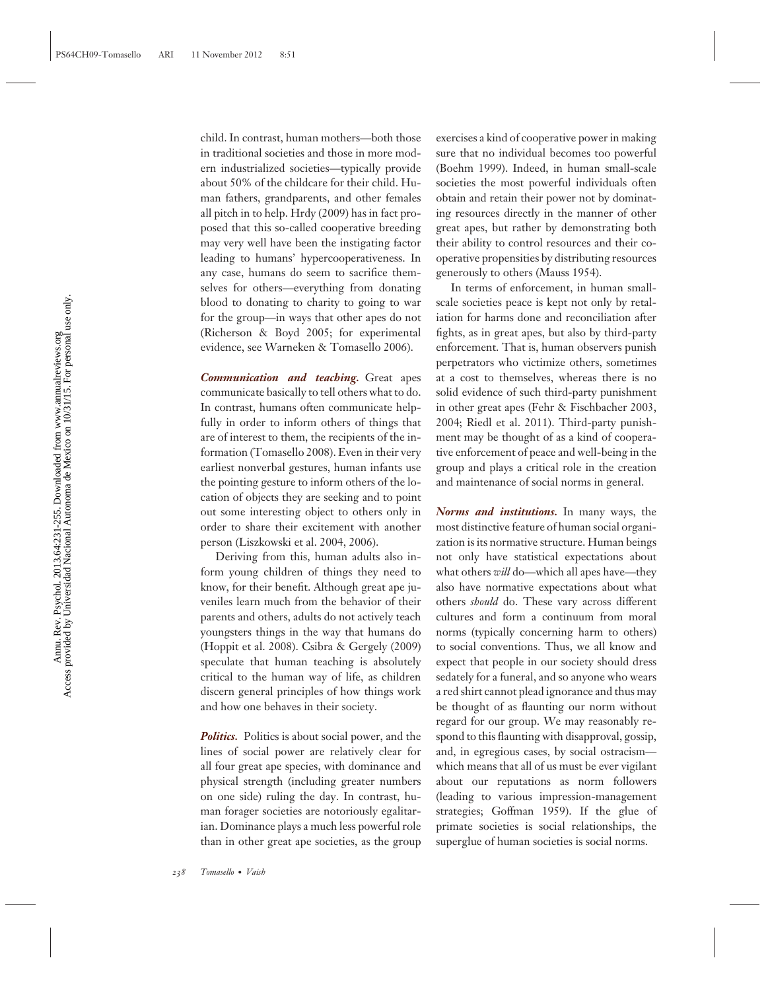child. In contrast, human mothers—both those in traditional societies and those in more modern industrialized societies—typically provide about 50% of the childcare for their child. Human fathers, grandparents, and other females all pitch in to help. Hrdy (2009) has in fact proposed that this so-called cooperative breeding may very well have been the instigating factor leading to humans' hypercooperativeness. In any case, humans do seem to sacrifice themselves for others—everything from donating blood to donating to charity to going to war for the group—in ways that other apes do not (Richerson & Boyd 2005; for experimental evidence, see Warneken & Tomasello 2006).

*Communication and teaching.* Great apes communicate basically to tell others what to do. In contrast, humans often communicate helpfully in order to inform others of things that are of interest to them, the recipients of the information (Tomasello 2008). Even in their very earliest nonverbal gestures, human infants use the pointing gesture to inform others of the location of objects they are seeking and to point out some interesting object to others only in order to share their excitement with another person (Liszkowski et al. 2004, 2006).

Deriving from this, human adults also inform young children of things they need to know, for their benefit. Although great ape juveniles learn much from the behavior of their parents and others, adults do not actively teach youngsters things in the way that humans do (Hoppit et al. 2008). Csibra & Gergely (2009) speculate that human teaching is absolutely critical to the human way of life, as children discern general principles of how things work and how one behaves in their society.

**Politics.** Politics is about social power, and the lines of social power are relatively clear for all four great ape species, with dominance and physical strength (including greater numbers on one side) ruling the day. In contrast, human forager societies are notoriously egalitarian. Dominance plays a much less powerful role than in other great ape societies, as the group exercises a kind of cooperative power in making sure that no individual becomes too powerful (Boehm 1999). Indeed, in human small-scale societies the most powerful individuals often obtain and retain their power not by dominating resources directly in the manner of other great apes, but rather by demonstrating both their ability to control resources and their cooperative propensities by distributing resources generously to others (Mauss 1954).

In terms of enforcement, in human smallscale societies peace is kept not only by retaliation for harms done and reconciliation after fights, as in great apes, but also by third-party enforcement. That is, human observers punish perpetrators who victimize others, sometimes at a cost to themselves, whereas there is no solid evidence of such third-party punishment in other great apes (Fehr & Fischbacher 2003, 2004; Riedl et al. 2011). Third-party punishment may be thought of as a kind of cooperative enforcement of peace and well-being in the group and plays a critical role in the creation and maintenance of social norms in general.

*Norms and institutions.* In many ways, the most distinctive feature of human social organization is its normative structure. Human beings not only have statistical expectations about what others *will* do—which all apes have—they also have normative expectations about what others *should* do. These vary across different cultures and form a continuum from moral norms (typically concerning harm to others) to social conventions. Thus, we all know and expect that people in our society should dress sedately for a funeral, and so anyone who wears a red shirt cannot plead ignorance and thus may be thought of as flaunting our norm without regard for our group. We may reasonably respond to this flaunting with disapproval, gossip, and, in egregious cases, by social ostracism which means that all of us must be ever vigilant about our reputations as norm followers (leading to various impression-management strategies; Goffman 1959). If the glue of primate societies is social relationships, the superglue of human societies is social norms.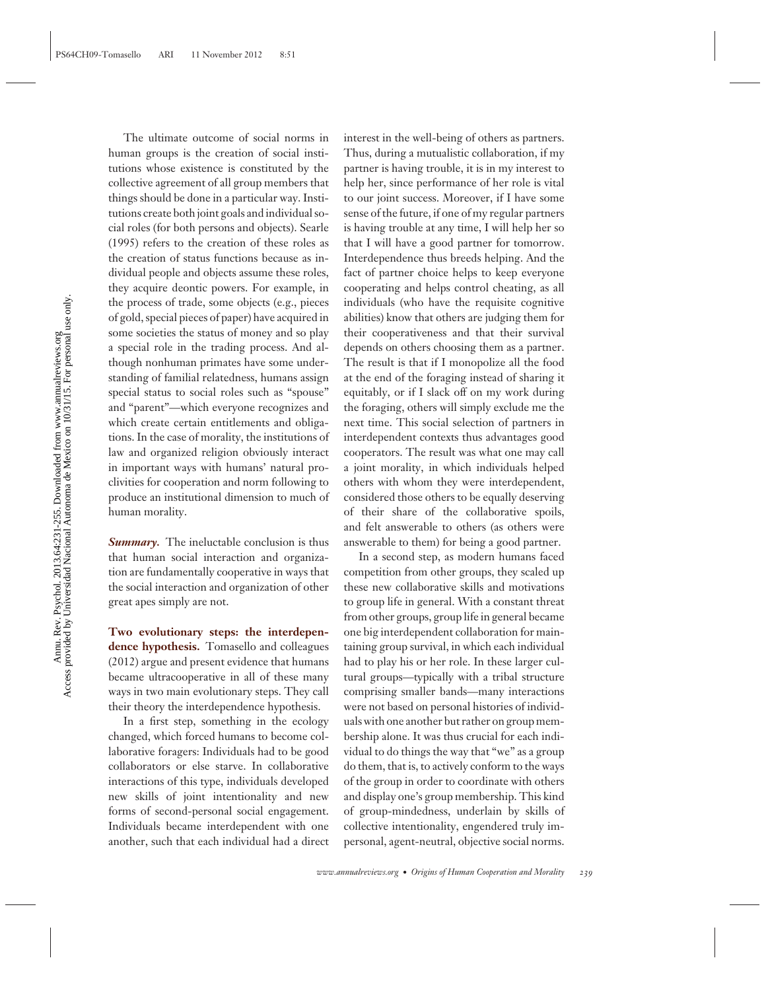The ultimate outcome of social norms in human groups is the creation of social institutions whose existence is constituted by the collective agreement of all group members that things should be done in a particular way. Institutions create both joint goals and individual social roles (for both persons and objects). Searle (1995) refers to the creation of these roles as the creation of status functions because as individual people and objects assume these roles, they acquire deontic powers. For example, in the process of trade, some objects (e.g., pieces of gold, special pieces of paper) have acquired in some societies the status of money and so play a special role in the trading process. And although nonhuman primates have some understanding of familial relatedness, humans assign special status to social roles such as "spouse" and "parent"—which everyone recognizes and which create certain entitlements and obligations. In the case of morality, the institutions of law and organized religion obviously interact in important ways with humans' natural proclivities for cooperation and norm following to produce an institutional dimension to much of human morality.

*Summary.* The ineluctable conclusion is thus that human social interaction and organization are fundamentally cooperative in ways that the social interaction and organization of other great apes simply are not.

**Two evolutionary steps: the interdependence hypothesis.** Tomasello and colleagues (2012) argue and present evidence that humans became ultracooperative in all of these many ways in two main evolutionary steps. They call their theory the interdependence hypothesis.

In a first step, something in the ecology changed, which forced humans to become collaborative foragers: Individuals had to be good collaborators or else starve. In collaborative interactions of this type, individuals developed new skills of joint intentionality and new forms of second-personal social engagement. Individuals became interdependent with one another, such that each individual had a direct

interest in the well-being of others as partners. Thus, during a mutualistic collaboration, if my partner is having trouble, it is in my interest to help her, since performance of her role is vital to our joint success. Moreover, if I have some sense of the future, if one of my regular partners is having trouble at any time, I will help her so that I will have a good partner for tomorrow. Interdependence thus breeds helping. And the fact of partner choice helps to keep everyone cooperating and helps control cheating, as all individuals (who have the requisite cognitive abilities) know that others are judging them for their cooperativeness and that their survival depends on others choosing them as a partner. The result is that if I monopolize all the food at the end of the foraging instead of sharing it equitably, or if I slack off on my work during the foraging, others will simply exclude me the next time. This social selection of partners in interdependent contexts thus advantages good cooperators. The result was what one may call a joint morality, in which individuals helped others with whom they were interdependent, considered those others to be equally deserving of their share of the collaborative spoils, and felt answerable to others (as others were answerable to them) for being a good partner.

In a second step, as modern humans faced competition from other groups, they scaled up these new collaborative skills and motivations to group life in general. With a constant threat from other groups, group life in general became one big interdependent collaboration for maintaining group survival, in which each individual had to play his or her role. In these larger cultural groups—typically with a tribal structure comprising smaller bands—many interactions were not based on personal histories of individuals with one another but rather on group membership alone. It was thus crucial for each individual to do things the way that "we" as a group do them, that is, to actively conform to the ways of the group in order to coordinate with others and display one's group membership. This kind of group-mindedness, underlain by skills of collective intentionality, engendered truly impersonal, agent-neutral, objective social norms.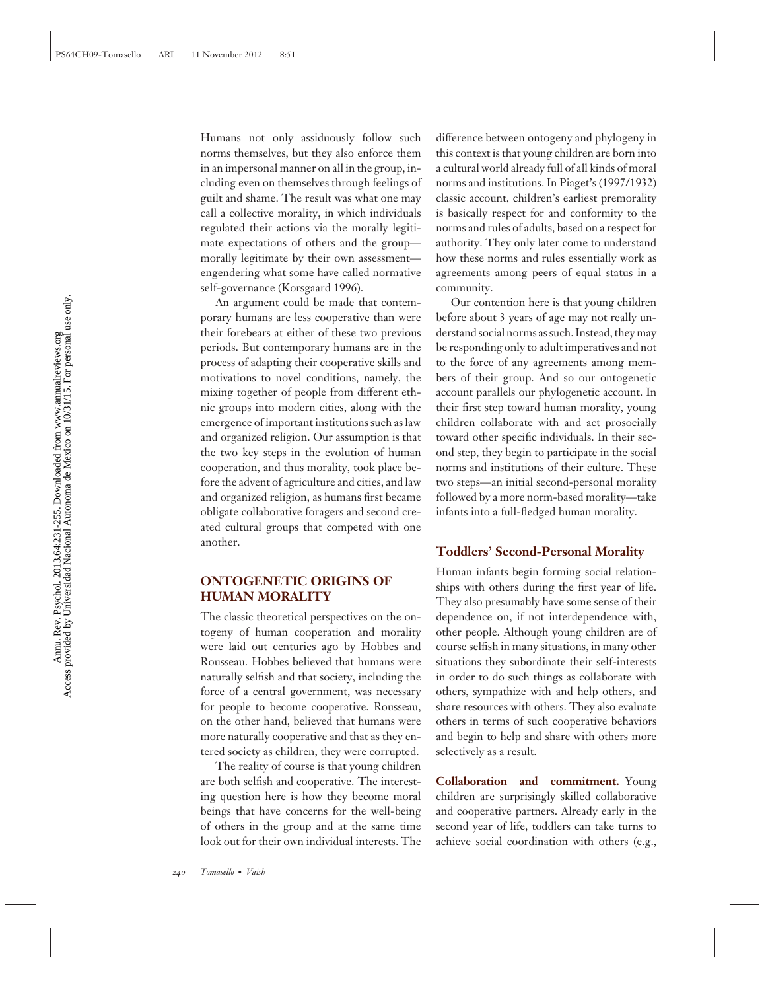Humans not only assiduously follow such norms themselves, but they also enforce them in an impersonal manner on all in the group, including even on themselves through feelings of guilt and shame. The result was what one may call a collective morality, in which individuals regulated their actions via the morally legitimate expectations of others and the group morally legitimate by their own assessment engendering what some have called normative self-governance (Korsgaard 1996).

An argument could be made that contemporary humans are less cooperative than were their forebears at either of these two previous periods. But contemporary humans are in the process of adapting their cooperative skills and motivations to novel conditions, namely, the mixing together of people from different ethnic groups into modern cities, along with the emergence of important institutions such as law and organized religion. Our assumption is that the two key steps in the evolution of human cooperation, and thus morality, took place before the advent of agriculture and cities, and law and organized religion, as humans first became obligate collaborative foragers and second created cultural groups that competed with one another.

#### **ONTOGENETIC ORIGINS OF HUMAN MORALITY**

The classic theoretical perspectives on the ontogeny of human cooperation and morality were laid out centuries ago by Hobbes and Rousseau. Hobbes believed that humans were naturally selfish and that society, including the force of a central government, was necessary for people to become cooperative. Rousseau, on the other hand, believed that humans were more naturally cooperative and that as they entered society as children, they were corrupted.

The reality of course is that young children are both selfish and cooperative. The interesting question here is how they become moral beings that have concerns for the well-being of others in the group and at the same time look out for their own individual interests. The

difference between ontogeny and phylogeny in this context is that young children are born into a cultural world already full of all kinds of moral norms and institutions. In Piaget's (1997/1932) classic account, children's earliest premorality is basically respect for and conformity to the norms and rules of adults, based on a respect for authority. They only later come to understand how these norms and rules essentially work as agreements among peers of equal status in a community.

Our contention here is that young children before about 3 years of age may not really understand social norms as such. Instead, they may be responding only to adult imperatives and not to the force of any agreements among members of their group. And so our ontogenetic account parallels our phylogenetic account. In their first step toward human morality, young children collaborate with and act prosocially toward other specific individuals. In their second step, they begin to participate in the social norms and institutions of their culture. These two steps—an initial second-personal morality followed by a more norm-based morality—take infants into a full-fledged human morality.

#### **Toddlers' Second-Personal Morality**

Human infants begin forming social relationships with others during the first year of life. They also presumably have some sense of their dependence on, if not interdependence with, other people. Although young children are of course selfish in many situations, in many other situations they subordinate their self-interests in order to do such things as collaborate with others, sympathize with and help others, and share resources with others. They also evaluate others in terms of such cooperative behaviors and begin to help and share with others more selectively as a result.

**Collaboration and commitment.** Young children are surprisingly skilled collaborative and cooperative partners. Already early in the second year of life, toddlers can take turns to achieve social coordination with others (e.g.,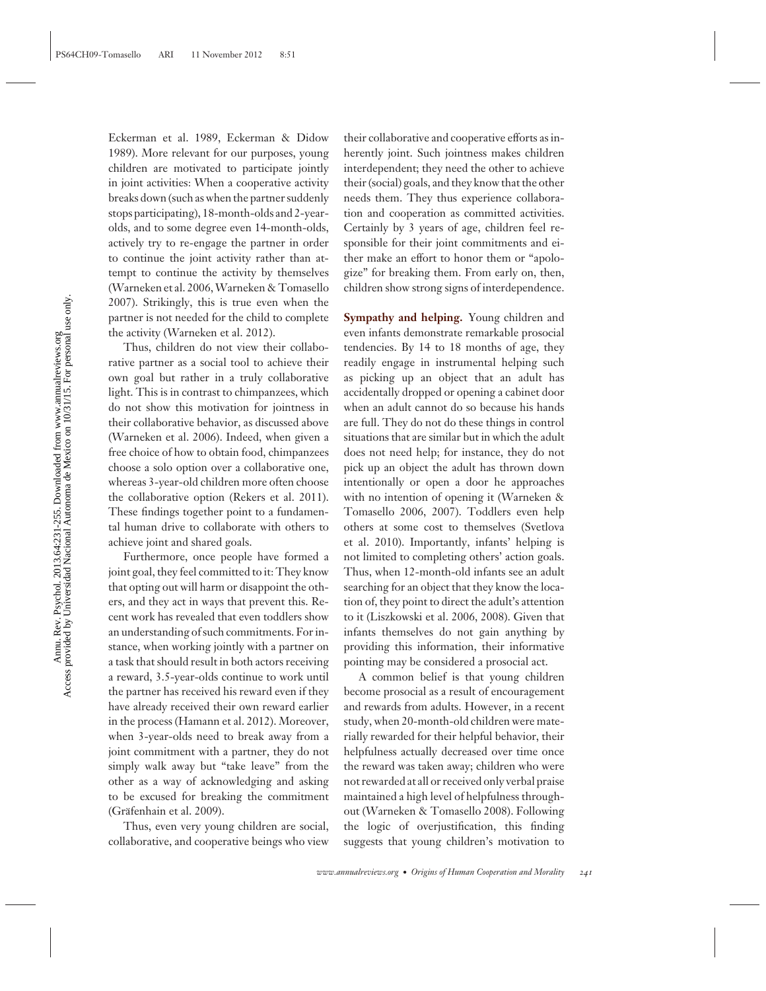Eckerman et al. 1989, Eckerman & Didow 1989). More relevant for our purposes, young children are motivated to participate jointly in joint activities: When a cooperative activity breaks down (such as when the partner suddenly stops participating), 18-month-olds and 2-yearolds, and to some degree even 14-month-olds, actively try to re-engage the partner in order to continue the joint activity rather than attempt to continue the activity by themselves (Warneken et al. 2006,Warneken & Tomasello 2007). Strikingly, this is true even when the partner is not needed for the child to complete the activity (Warneken et al. 2012).

Thus, children do not view their collaborative partner as a social tool to achieve their own goal but rather in a truly collaborative light. This is in contrast to chimpanzees, which do not show this motivation for jointness in their collaborative behavior, as discussed above (Warneken et al. 2006). Indeed, when given a free choice of how to obtain food, chimpanzees choose a solo option over a collaborative one, whereas 3-year-old children more often choose the collaborative option (Rekers et al. 2011). These findings together point to a fundamental human drive to collaborate with others to achieve joint and shared goals.

Furthermore, once people have formed a joint goal, they feel committed to it: They know that opting out will harm or disappoint the others, and they act in ways that prevent this. Recent work has revealed that even toddlers show an understanding of such commitments. For instance, when working jointly with a partner on a task that should result in both actors receiving a reward, 3.5-year-olds continue to work until the partner has received his reward even if they have already received their own reward earlier in the process (Hamann et al. 2012). Moreover, when 3-year-olds need to break away from a joint commitment with a partner, they do not simply walk away but "take leave" from the other as a way of acknowledging and asking to be excused for breaking the commitment (Gräfenhain et al. 2009).

Thus, even very young children are social, collaborative, and cooperative beings who view

their collaborative and cooperative efforts as inherently joint. Such jointness makes children interdependent; they need the other to achieve their (social) goals, and they know that the other needs them. They thus experience collaboration and cooperation as committed activities. Certainly by 3 years of age, children feel responsible for their joint commitments and either make an effort to honor them or "apologize" for breaking them. From early on, then, children show strong signs of interdependence.

**Sympathy and helping.** Young children and even infants demonstrate remarkable prosocial tendencies. By 14 to 18 months of age, they readily engage in instrumental helping such as picking up an object that an adult has accidentally dropped or opening a cabinet door when an adult cannot do so because his hands are full. They do not do these things in control situations that are similar but in which the adult does not need help; for instance, they do not pick up an object the adult has thrown down intentionally or open a door he approaches with no intention of opening it (Warneken & Tomasello 2006, 2007). Toddlers even help others at some cost to themselves (Svetlova et al. 2010). Importantly, infants' helping is not limited to completing others' action goals. Thus, when 12-month-old infants see an adult searching for an object that they know the location of, they point to direct the adult's attention to it (Liszkowski et al. 2006, 2008). Given that infants themselves do not gain anything by providing this information, their informative pointing may be considered a prosocial act.

A common belief is that young children become prosocial as a result of encouragement and rewards from adults. However, in a recent study, when 20-month-old children were materially rewarded for their helpful behavior, their helpfulness actually decreased over time once the reward was taken away; children who were not rewarded at all or received only verbal praise maintained a high level of helpfulness throughout (Warneken & Tomasello 2008). Following the logic of overjustification, this finding suggests that young children's motivation to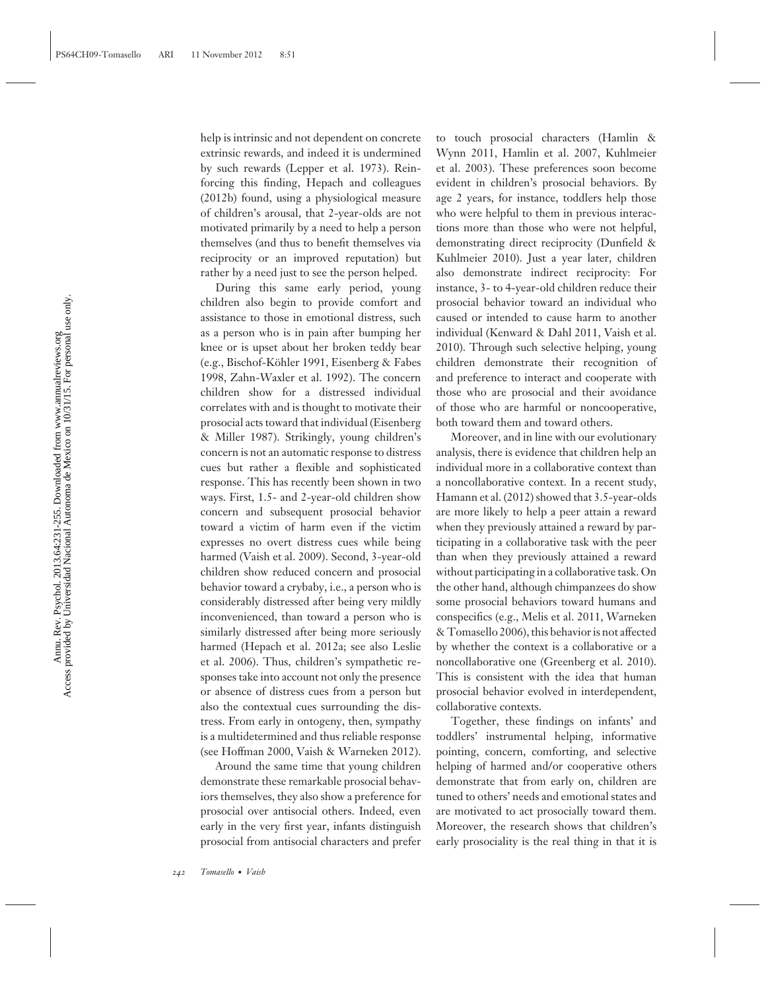extrinsic rewards, and indeed it is undermined by such rewards (Lepper et al. 1973). Reinforcing this finding, Hepach and colleagues (2012b) found, using a physiological measure of children's arousal, that 2-year-olds are not motivated primarily by a need to help a person themselves (and thus to benefit themselves via reciprocity or an improved reputation) but rather by a need just to see the person helped. During this same early period, young

help is intrinsic and not dependent on concrete

children also begin to provide comfort and assistance to those in emotional distress, such as a person who is in pain after bumping her knee or is upset about her broken teddy bear (e.g., Bischof-Kohler 1991, Eisenberg & Fabes ¨ 1998, Zahn-Waxler et al. 1992). The concern children show for a distressed individual correlates with and is thought to motivate their prosocial acts toward that individual (Eisenberg & Miller 1987). Strikingly, young children's concern is not an automatic response to distress cues but rather a flexible and sophisticated response. This has recently been shown in two ways. First, 1.5- and 2-year-old children show concern and subsequent prosocial behavior toward a victim of harm even if the victim expresses no overt distress cues while being harmed (Vaish et al. 2009). Second, 3-year-old children show reduced concern and prosocial behavior toward a crybaby, i.e., a person who is considerably distressed after being very mildly inconvenienced, than toward a person who is similarly distressed after being more seriously harmed (Hepach et al. 2012a; see also Leslie et al. 2006). Thus, children's sympathetic responses take into account not only the presence or absence of distress cues from a person but also the contextual cues surrounding the distress. From early in ontogeny, then, sympathy is a multidetermined and thus reliable response (see Hoffman 2000, Vaish & Warneken 2012).

Around the same time that young children demonstrate these remarkable prosocial behaviors themselves, they also show a preference for prosocial over antisocial others. Indeed, even early in the very first year, infants distinguish prosocial from antisocial characters and prefer to touch prosocial characters (Hamlin & Wynn 2011, Hamlin et al. 2007, Kuhlmeier et al. 2003). These preferences soon become evident in children's prosocial behaviors. By age 2 years, for instance, toddlers help those who were helpful to them in previous interactions more than those who were not helpful, demonstrating direct reciprocity (Dunfield & Kuhlmeier 2010). Just a year later, children also demonstrate indirect reciprocity: For instance, 3- to 4-year-old children reduce their prosocial behavior toward an individual who caused or intended to cause harm to another individual (Kenward & Dahl 2011, Vaish et al. 2010). Through such selective helping, young children demonstrate their recognition of and preference to interact and cooperate with those who are prosocial and their avoidance of those who are harmful or noncooperative, both toward them and toward others.

Moreover, and in line with our evolutionary analysis, there is evidence that children help an individual more in a collaborative context than a noncollaborative context. In a recent study, Hamann et al. (2012) showed that 3.5-year-olds are more likely to help a peer attain a reward when they previously attained a reward by participating in a collaborative task with the peer than when they previously attained a reward without participating in a collaborative task. On the other hand, although chimpanzees do show some prosocial behaviors toward humans and conspecifics (e.g., Melis et al. 2011, Warneken & Tomasello 2006), this behavior is not affected by whether the context is a collaborative or a noncollaborative one (Greenberg et al. 2010). This is consistent with the idea that human prosocial behavior evolved in interdependent, collaborative contexts.

Together, these findings on infants' and toddlers' instrumental helping, informative pointing, concern, comforting, and selective helping of harmed and/or cooperative others demonstrate that from early on, children are tuned to others' needs and emotional states and are motivated to act prosocially toward them. Moreover, the research shows that children's early prosociality is the real thing in that it is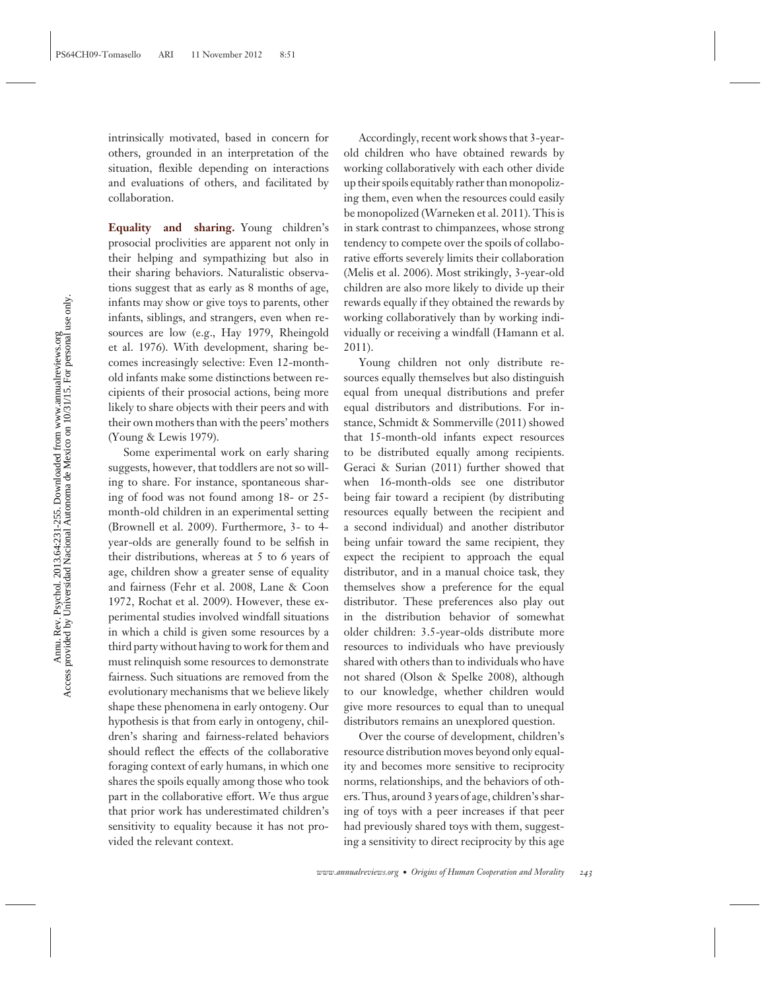intrinsically motivated, based in concern for others, grounded in an interpretation of the situation, flexible depending on interactions and evaluations of others, and facilitated by collaboration.

**Equality and sharing.** Young children's prosocial proclivities are apparent not only in their helping and sympathizing but also in their sharing behaviors. Naturalistic observations suggest that as early as 8 months of age, infants may show or give toys to parents, other infants, siblings, and strangers, even when resources are low (e.g., Hay 1979, Rheingold et al. 1976). With development, sharing becomes increasingly selective: Even 12-monthold infants make some distinctions between recipients of their prosocial actions, being more likely to share objects with their peers and with their own mothers than with the peers' mothers (Young & Lewis 1979).

Some experimental work on early sharing suggests, however, that toddlers are not so willing to share. For instance, spontaneous sharing of food was not found among 18- or 25 month-old children in an experimental setting (Brownell et al. 2009). Furthermore, 3- to 4 year-olds are generally found to be selfish in their distributions, whereas at 5 to 6 years of age, children show a greater sense of equality and fairness (Fehr et al. 2008, Lane & Coon 1972, Rochat et al. 2009). However, these experimental studies involved windfall situations in which a child is given some resources by a third party without having to work for them and must relinquish some resources to demonstrate fairness. Such situations are removed from the evolutionary mechanisms that we believe likely shape these phenomena in early ontogeny. Our hypothesis is that from early in ontogeny, children's sharing and fairness-related behaviors should reflect the effects of the collaborative foraging context of early humans, in which one shares the spoils equally among those who took part in the collaborative effort. We thus argue that prior work has underestimated children's sensitivity to equality because it has not provided the relevant context.

Accordingly, recent work shows that 3-yearold children who have obtained rewards by working collaboratively with each other divide up their spoils equitably rather than monopolizing them, even when the resources could easily be monopolized (Warneken et al. 2011). This is in stark contrast to chimpanzees, whose strong tendency to compete over the spoils of collaborative efforts severely limits their collaboration (Melis et al. 2006). Most strikingly, 3-year-old children are also more likely to divide up their rewards equally if they obtained the rewards by working collaboratively than by working individually or receiving a windfall (Hamann et al. 2011).

Young children not only distribute resources equally themselves but also distinguish equal from unequal distributions and prefer equal distributors and distributions. For instance, Schmidt & Sommerville (2011) showed that 15-month-old infants expect resources to be distributed equally among recipients. Geraci & Surian (2011) further showed that when 16-month-olds see one distributor being fair toward a recipient (by distributing resources equally between the recipient and a second individual) and another distributor being unfair toward the same recipient, they expect the recipient to approach the equal distributor, and in a manual choice task, they themselves show a preference for the equal distributor. These preferences also play out in the distribution behavior of somewhat older children: 3.5-year-olds distribute more resources to individuals who have previously shared with others than to individuals who have not shared (Olson & Spelke 2008), although to our knowledge, whether children would give more resources to equal than to unequal distributors remains an unexplored question.

Over the course of development, children's resource distribution moves beyond only equality and becomes more sensitive to reciprocity norms, relationships, and the behaviors of others. Thus, around 3 years of age, children's sharing of toys with a peer increases if that peer had previously shared toys with them, suggesting a sensitivity to direct reciprocity by this age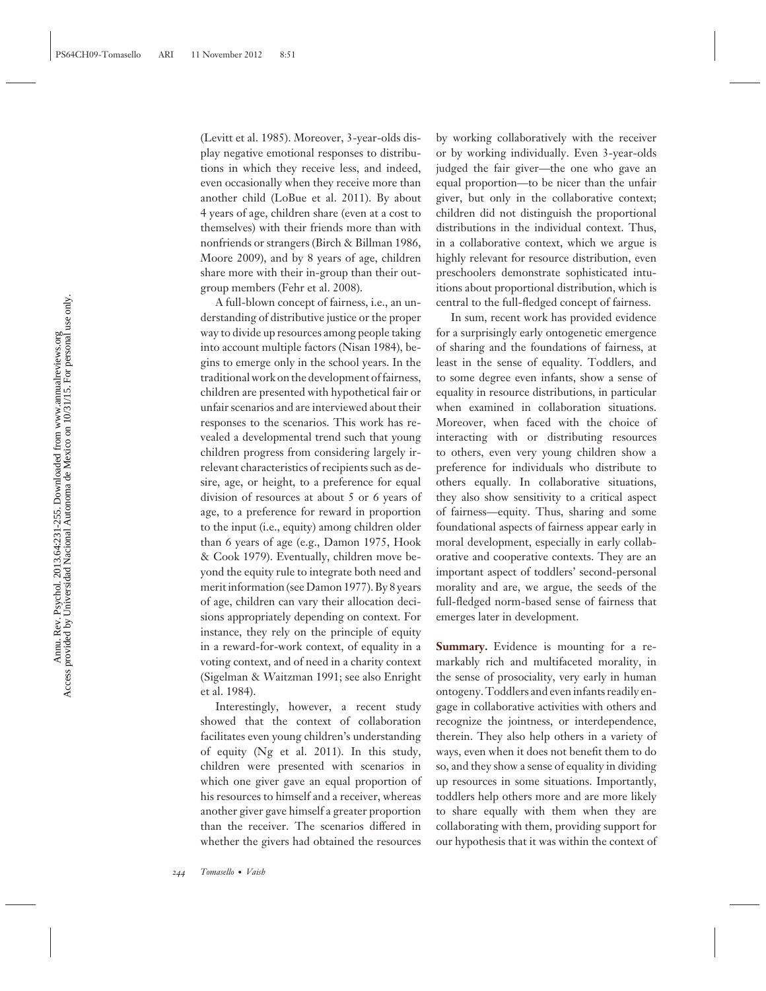(Levitt et al. 1985). Moreover, 3-year-olds display negative emotional responses to distributions in which they receive less, and indeed, even occasionally when they receive more than another child (LoBue et al. 2011). By about 4 years of age, children share (even at a cost to themselves) with their friends more than with nonfriends or strangers (Birch & Billman 1986, Moore 2009), and by 8 years of age, children share more with their in-group than their outgroup members (Fehr et al. 2008).

A full-blown concept of fairness, i.e., an understanding of distributive justice or the proper way to divide up resources among people taking into account multiple factors (Nisan 1984), begins to emerge only in the school years. In the traditional work on the development of fairness, children are presented with hypothetical fair or unfair scenarios and are interviewed about their responses to the scenarios. This work has revealed a developmental trend such that young children progress from considering largely irrelevant characteristics of recipients such as desire, age, or height, to a preference for equal division of resources at about 5 or 6 years of age, to a preference for reward in proportion to the input (i.e., equity) among children older than 6 years of age (e.g., Damon 1975, Hook & Cook 1979). Eventually, children move beyond the equity rule to integrate both need and merit information (see Damon 1977). By 8 years of age, children can vary their allocation decisions appropriately depending on context. For instance, they rely on the principle of equity in a reward-for-work context, of equality in a voting context, and of need in a charity context (Sigelman & Waitzman 1991; see also Enright et al. 1984).

Interestingly, however, a recent study showed that the context of collaboration facilitates even young children's understanding of equity (Ng et al. 2011). In this study, children were presented with scenarios in which one giver gave an equal proportion of his resources to himself and a receiver, whereas another giver gave himself a greater proportion than the receiver. The scenarios differed in whether the givers had obtained the resources by working collaboratively with the receiver or by working individually. Even 3-year-olds judged the fair giver—the one who gave an equal proportion—to be nicer than the unfair giver, but only in the collaborative context; children did not distinguish the proportional distributions in the individual context. Thus, in a collaborative context, which we argue is highly relevant for resource distribution, even preschoolers demonstrate sophisticated intuitions about proportional distribution, which is central to the full-fledged concept of fairness.

In sum, recent work has provided evidence for a surprisingly early ontogenetic emergence of sharing and the foundations of fairness, at least in the sense of equality. Toddlers, and to some degree even infants, show a sense of equality in resource distributions, in particular when examined in collaboration situations. Moreover, when faced with the choice of interacting with or distributing resources to others, even very young children show a preference for individuals who distribute to others equally. In collaborative situations, they also show sensitivity to a critical aspect of fairness—equity. Thus, sharing and some foundational aspects of fairness appear early in moral development, especially in early collaborative and cooperative contexts. They are an important aspect of toddlers' second-personal morality and are, we argue, the seeds of the full-fledged norm-based sense of fairness that emerges later in development.

**Summary.** Evidence is mounting for a remarkably rich and multifaceted morality, in the sense of prosociality, very early in human ontogeny. Toddlers and even infants readily engage in collaborative activities with others and recognize the jointness, or interdependence, therein. They also help others in a variety of ways, even when it does not benefit them to do so, and they show a sense of equality in dividing up resources in some situations. Importantly, toddlers help others more and are more likely to share equally with them when they are collaborating with them, providing support for our hypothesis that it was within the context of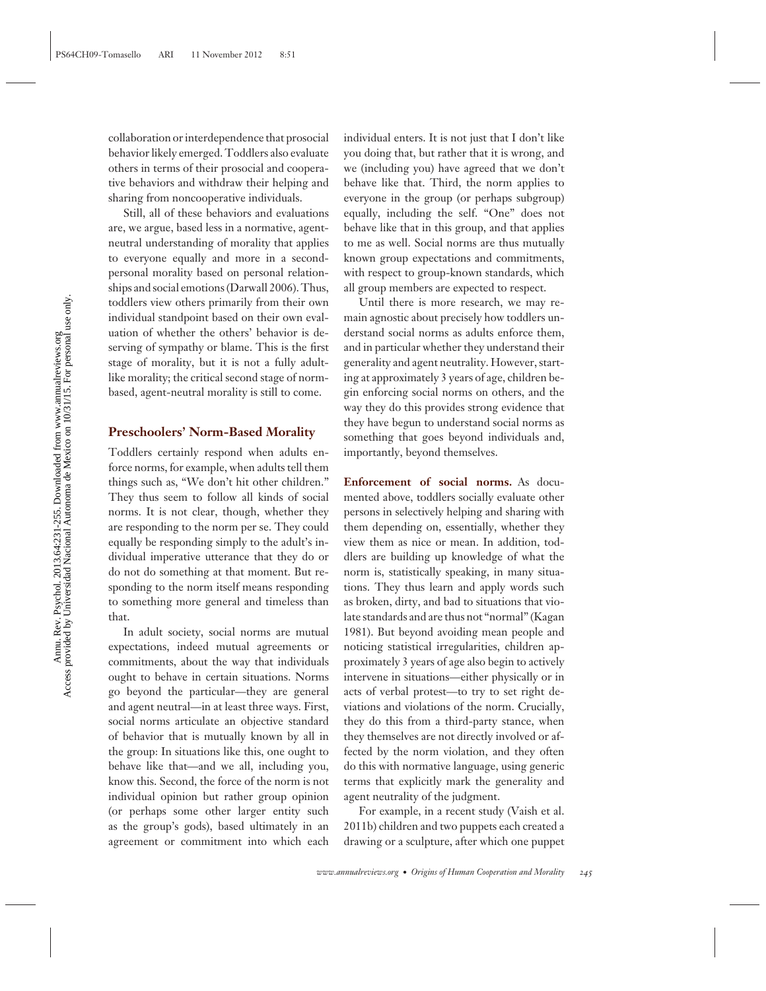collaboration or interdependence that prosocial behavior likely emerged. Toddlers also evaluate others in terms of their prosocial and cooperative behaviors and withdraw their helping and sharing from noncooperative individuals.

Still, all of these behaviors and evaluations are, we argue, based less in a normative, agentneutral understanding of morality that applies to everyone equally and more in a secondpersonal morality based on personal relationships and social emotions (Darwall 2006). Thus, toddlers view others primarily from their own individual standpoint based on their own evaluation of whether the others' behavior is deserving of sympathy or blame. This is the first stage of morality, but it is not a fully adultlike morality; the critical second stage of normbased, agent-neutral morality is still to come.

#### **Preschoolers' Norm-Based Morality**

Toddlers certainly respond when adults enforce norms, for example, when adults tell them things such as, "We don't hit other children." They thus seem to follow all kinds of social norms. It is not clear, though, whether they are responding to the norm per se. They could equally be responding simply to the adult's individual imperative utterance that they do or do not do something at that moment. But responding to the norm itself means responding to something more general and timeless than that.

In adult society, social norms are mutual expectations, indeed mutual agreements or commitments, about the way that individuals ought to behave in certain situations. Norms go beyond the particular—they are general and agent neutral—in at least three ways. First, social norms articulate an objective standard of behavior that is mutually known by all in the group: In situations like this, one ought to behave like that—and we all, including you, know this. Second, the force of the norm is not individual opinion but rather group opinion (or perhaps some other larger entity such as the group's gods), based ultimately in an agreement or commitment into which each

individual enters. It is not just that I don't like you doing that, but rather that it is wrong, and we (including you) have agreed that we don't behave like that. Third, the norm applies to everyone in the group (or perhaps subgroup) equally, including the self. "One" does not behave like that in this group, and that applies to me as well. Social norms are thus mutually known group expectations and commitments, with respect to group-known standards, which all group members are expected to respect.

Until there is more research, we may remain agnostic about precisely how toddlers understand social norms as adults enforce them, and in particular whether they understand their generality and agent neutrality. However, starting at approximately 3 years of age, children begin enforcing social norms on others, and the way they do this provides strong evidence that they have begun to understand social norms as something that goes beyond individuals and, importantly, beyond themselves.

**Enforcement of social norms.** As documented above, toddlers socially evaluate other persons in selectively helping and sharing with them depending on, essentially, whether they view them as nice or mean. In addition, toddlers are building up knowledge of what the norm is, statistically speaking, in many situations. They thus learn and apply words such as broken, dirty, and bad to situations that violate standards and are thus not "normal" (Kagan 1981). But beyond avoiding mean people and noticing statistical irregularities, children approximately 3 years of age also begin to actively intervene in situations—either physically or in acts of verbal protest—to try to set right deviations and violations of the norm. Crucially, they do this from a third-party stance, when they themselves are not directly involved or affected by the norm violation, and they often do this with normative language, using generic terms that explicitly mark the generality and agent neutrality of the judgment.

For example, in a recent study (Vaish et al. 2011b) children and two puppets each created a drawing or a sculpture, after which one puppet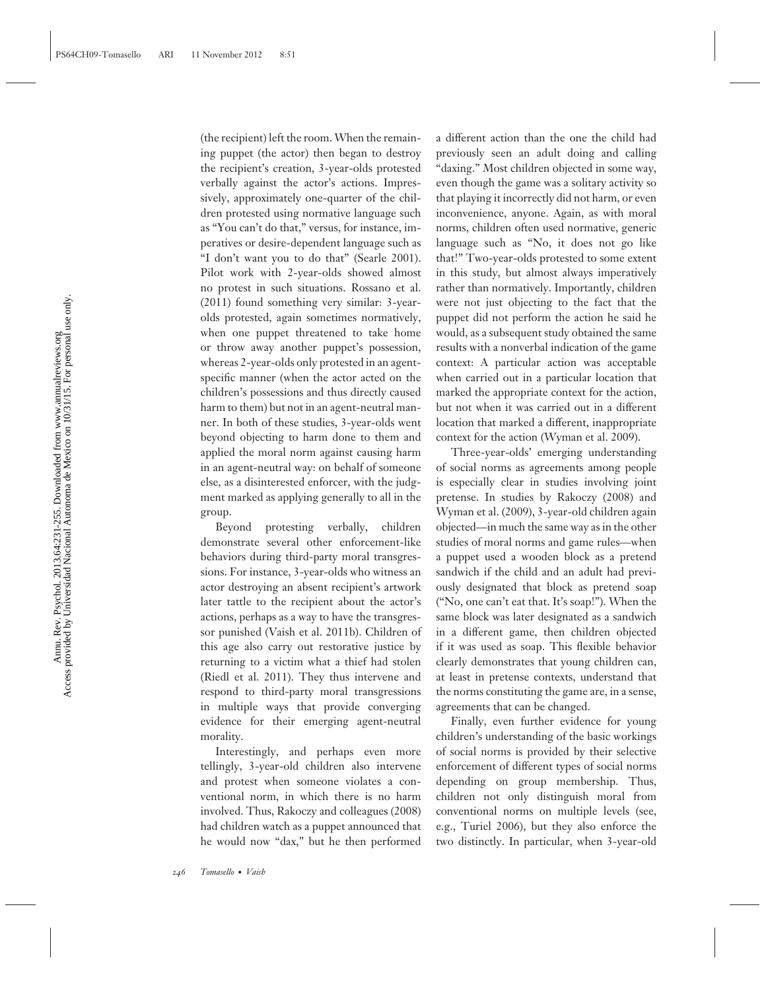(the recipient) left the room.When the remaining puppet (the actor) then began to destroy the recipient's creation, 3-year-olds protested verbally against the actor's actions. Impressively, approximately one-quarter of the children protested using normative language such as "You can't do that," versus, for instance, imperatives or desire-dependent language such as "I don't want you to do that" (Searle 2001). Pilot work with 2-year-olds showed almost no protest in such situations. Rossano et al. (2011) found something very similar: 3-yearolds protested, again sometimes normatively, when one puppet threatened to take home or throw away another puppet's possession, whereas 2-year-olds only protested in an agentspecific manner (when the actor acted on the children's possessions and thus directly caused harm to them) but not in an agent-neutral manner. In both of these studies, 3-year-olds went beyond objecting to harm done to them and applied the moral norm against causing harm in an agent-neutral way: on behalf of someone else, as a disinterested enforcer, with the judgment marked as applying generally to all in the group.

Beyond protesting verbally, children demonstrate several other enforcement-like behaviors during third-party moral transgressions. For instance, 3-year-olds who witness an actor destroying an absent recipient's artwork later tattle to the recipient about the actor's actions, perhaps as a way to have the transgressor punished (Vaish et al. 2011b). Children of this age also carry out restorative justice by returning to a victim what a thief had stolen (Riedl et al. 2011). They thus intervene and respond to third-party moral transgressions in multiple ways that provide converging evidence for their emerging agent-neutral morality.

Interestingly, and perhaps even more tellingly, 3-year-old children also intervene and protest when someone violates a conventional norm, in which there is no harm involved. Thus, Rakoczy and colleagues (2008) had children watch as a puppet announced that he would now "dax," but he then performed a different action than the one the child had previously seen an adult doing and calling "daxing." Most children objected in some way, even though the game was a solitary activity so that playing it incorrectly did not harm, or even inconvenience, anyone. Again, as with moral norms, children often used normative, generic language such as "No, it does not go like that!" Two-year-olds protested to some extent in this study, but almost always imperatively rather than normatively. Importantly, children were not just objecting to the fact that the puppet did not perform the action he said he would, as a subsequent study obtained the same results with a nonverbal indication of the game context: A particular action was acceptable when carried out in a particular location that marked the appropriate context for the action, but not when it was carried out in a different location that marked a different, inappropriate context for the action (Wyman et al. 2009).

Three-year-olds' emerging understanding of social norms as agreements among people is especially clear in studies involving joint pretense. In studies by Rakoczy (2008) and Wyman et al. (2009), 3-year-old children again objected—in much the same way as in the other studies of moral norms and game rules—when a puppet used a wooden block as a pretend sandwich if the child and an adult had previously designated that block as pretend soap ("No, one can't eat that. It's soap!"). When the same block was later designated as a sandwich in a different game, then children objected if it was used as soap. This flexible behavior clearly demonstrates that young children can, at least in pretense contexts, understand that the norms constituting the game are, in a sense, agreements that can be changed.

Finally, even further evidence for young children's understanding of the basic workings of social norms is provided by their selective enforcement of different types of social norms depending on group membership. Thus, children not only distinguish moral from conventional norms on multiple levels (see, e.g., Turiel 2006), but they also enforce the two distinctly. In particular, when 3-year-old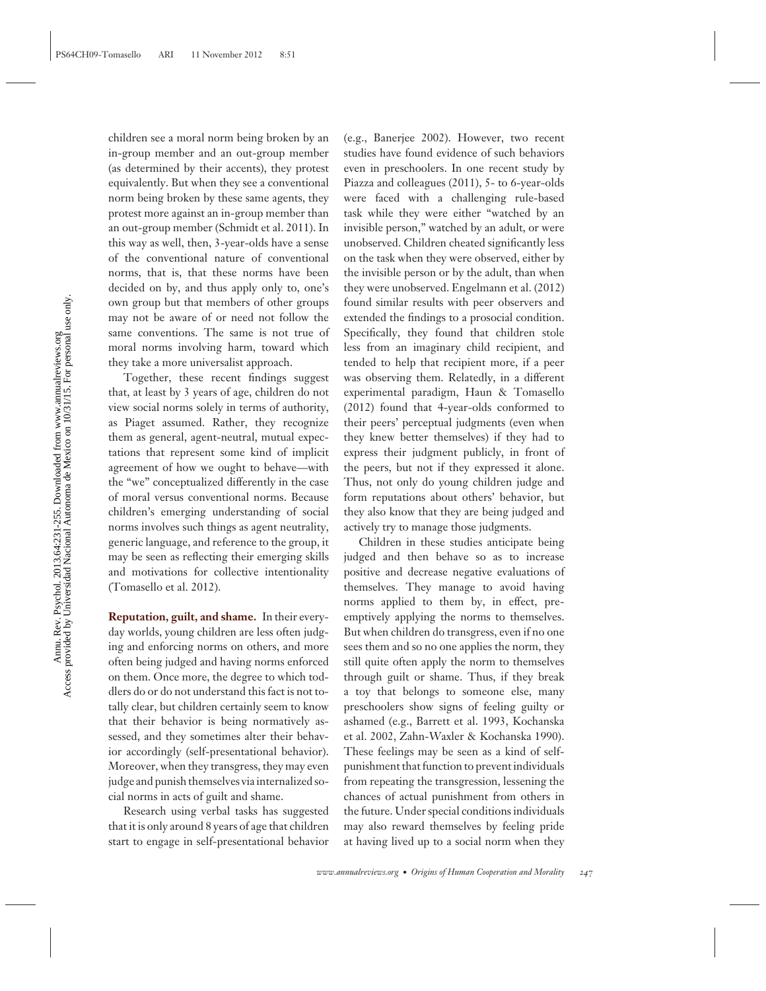children see a moral norm being broken by an in-group member and an out-group member (as determined by their accents), they protest equivalently. But when they see a conventional norm being broken by these same agents, they protest more against an in-group member than an out-group member (Schmidt et al. 2011). In this way as well, then, 3-year-olds have a sense of the conventional nature of conventional norms, that is, that these norms have been decided on by, and thus apply only to, one's own group but that members of other groups may not be aware of or need not follow the same conventions. The same is not true of moral norms involving harm, toward which they take a more universalist approach.

Together, these recent findings suggest that, at least by 3 years of age, children do not view social norms solely in terms of authority, as Piaget assumed. Rather, they recognize them as general, agent-neutral, mutual expectations that represent some kind of implicit agreement of how we ought to behave—with the "we" conceptualized differently in the case of moral versus conventional norms. Because children's emerging understanding of social norms involves such things as agent neutrality, generic language, and reference to the group, it may be seen as reflecting their emerging skills and motivations for collective intentionality (Tomasello et al. 2012).

**Reputation, guilt, and shame.** In their everyday worlds, young children are less often judging and enforcing norms on others, and more often being judged and having norms enforced on them. Once more, the degree to which toddlers do or do not understand this fact is not totally clear, but children certainly seem to know that their behavior is being normatively assessed, and they sometimes alter their behavior accordingly (self-presentational behavior). Moreover, when they transgress, they may even judge and punish themselves via internalized social norms in acts of guilt and shame.

Research using verbal tasks has suggested that it is only around 8 years of age that children start to engage in self-presentational behavior (e.g., Banerjee 2002). However, two recent studies have found evidence of such behaviors even in preschoolers. In one recent study by Piazza and colleagues (2011), 5- to 6-year-olds were faced with a challenging rule-based task while they were either "watched by an invisible person," watched by an adult, or were unobserved. Children cheated significantly less on the task when they were observed, either by the invisible person or by the adult, than when they were unobserved. Engelmann et al. (2012) found similar results with peer observers and extended the findings to a prosocial condition. Specifically, they found that children stole less from an imaginary child recipient, and tended to help that recipient more, if a peer was observing them. Relatedly, in a different experimental paradigm, Haun & Tomasello (2012) found that 4-year-olds conformed to their peers' perceptual judgments (even when they knew better themselves) if they had to express their judgment publicly, in front of the peers, but not if they expressed it alone. Thus, not only do young children judge and form reputations about others' behavior, but they also know that they are being judged and actively try to manage those judgments.

Children in these studies anticipate being judged and then behave so as to increase positive and decrease negative evaluations of themselves. They manage to avoid having norms applied to them by, in effect, preemptively applying the norms to themselves. But when children do transgress, even if no one sees them and so no one applies the norm, they still quite often apply the norm to themselves through guilt or shame. Thus, if they break a toy that belongs to someone else, many preschoolers show signs of feeling guilty or ashamed (e.g., Barrett et al. 1993, Kochanska et al. 2002, Zahn-Waxler & Kochanska 1990). These feelings may be seen as a kind of selfpunishment that function to prevent individuals from repeating the transgression, lessening the chances of actual punishment from others in the future. Under special conditions individuals may also reward themselves by feeling pride at having lived up to a social norm when they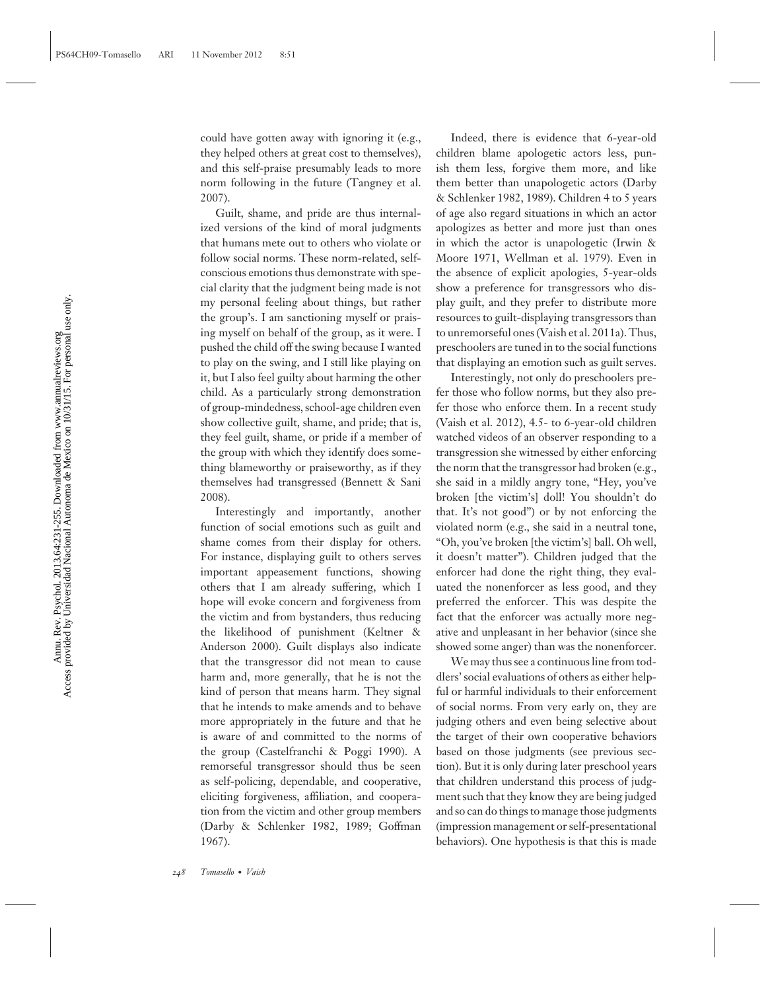could have gotten away with ignoring it (e.g., they helped others at great cost to themselves), and this self-praise presumably leads to more norm following in the future (Tangney et al. 2007).

Guilt, shame, and pride are thus internalized versions of the kind of moral judgments that humans mete out to others who violate or follow social norms. These norm-related, selfconscious emotions thus demonstrate with special clarity that the judgment being made is not my personal feeling about things, but rather the group's. I am sanctioning myself or praising myself on behalf of the group, as it were. I pushed the child off the swing because I wanted to play on the swing, and I still like playing on it, but I also feel guilty about harming the other child. As a particularly strong demonstration of group-mindedness, school-age children even show collective guilt, shame, and pride; that is, they feel guilt, shame, or pride if a member of the group with which they identify does something blameworthy or praiseworthy, as if they themselves had transgressed (Bennett & Sani 2008).

Interestingly and importantly, another function of social emotions such as guilt and shame comes from their display for others. For instance, displaying guilt to others serves important appeasement functions, showing others that I am already suffering, which I hope will evoke concern and forgiveness from the victim and from bystanders, thus reducing the likelihood of punishment (Keltner & Anderson 2000). Guilt displays also indicate that the transgressor did not mean to cause harm and, more generally, that he is not the kind of person that means harm. They signal that he intends to make amends and to behave more appropriately in the future and that he is aware of and committed to the norms of the group (Castelfranchi & Poggi 1990). A remorseful transgressor should thus be seen as self-policing, dependable, and cooperative, eliciting forgiveness, affiliation, and cooperation from the victim and other group members (Darby & Schlenker 1982, 1989; Goffman 1967).

Indeed, there is evidence that 6-year-old children blame apologetic actors less, punish them less, forgive them more, and like them better than unapologetic actors (Darby & Schlenker 1982, 1989). Children 4 to 5 years of age also regard situations in which an actor apologizes as better and more just than ones in which the actor is unapologetic (Irwin & Moore 1971, Wellman et al. 1979). Even in the absence of explicit apologies, 5-year-olds show a preference for transgressors who display guilt, and they prefer to distribute more resources to guilt-displaying transgressors than to unremorseful ones (Vaish et al. 2011a). Thus, preschoolers are tuned in to the social functions that displaying an emotion such as guilt serves.

Interestingly, not only do preschoolers prefer those who follow norms, but they also prefer those who enforce them. In a recent study (Vaish et al. 2012), 4.5- to 6-year-old children watched videos of an observer responding to a transgression she witnessed by either enforcing the norm that the transgressor had broken (e.g., she said in a mildly angry tone, "Hey, you've broken [the victim's] doll! You shouldn't do that. It's not good") or by not enforcing the violated norm (e.g., she said in a neutral tone, "Oh, you've broken [the victim's] ball. Oh well, it doesn't matter"). Children judged that the enforcer had done the right thing, they evaluated the nonenforcer as less good, and they preferred the enforcer. This was despite the fact that the enforcer was actually more negative and unpleasant in her behavior (since she showed some anger) than was the nonenforcer.

We may thus see a continuous line from toddlers' social evaluations of others as either helpful or harmful individuals to their enforcement of social norms. From very early on, they are judging others and even being selective about the target of their own cooperative behaviors based on those judgments (see previous section). But it is only during later preschool years that children understand this process of judgment such that they know they are being judged and so can do things to manage those judgments (impression management or self-presentational behaviors). One hypothesis is that this is made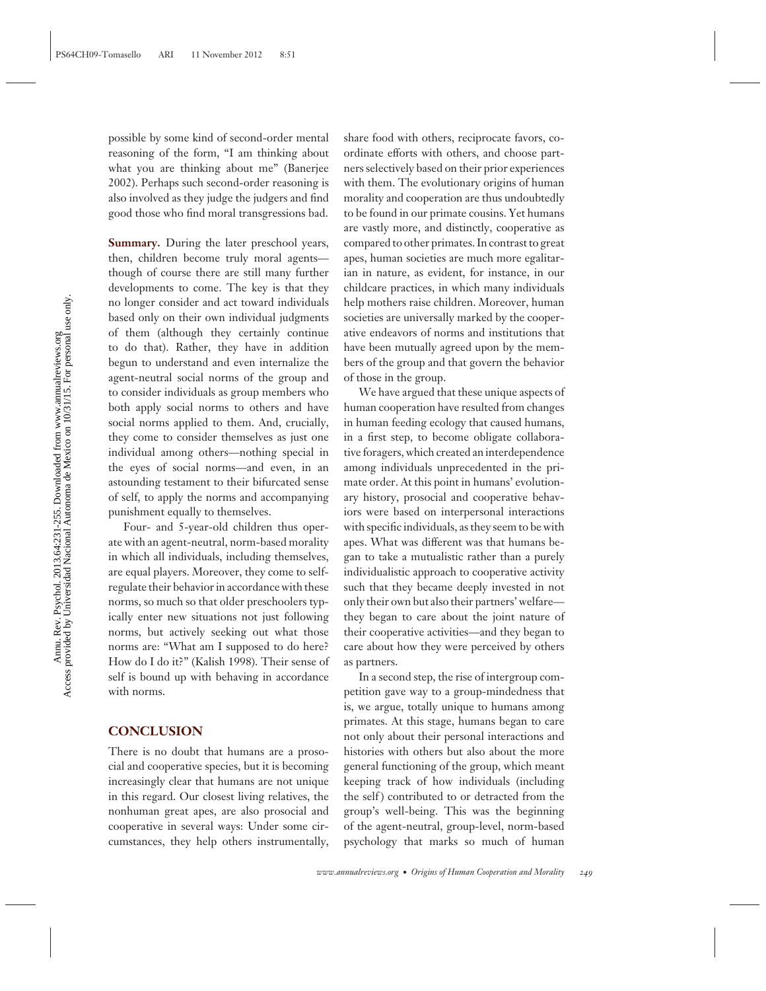possible by some kind of second-order mental reasoning of the form, "I am thinking about what you are thinking about me" (Banerjee 2002). Perhaps such second-order reasoning is also involved as they judge the judgers and find good those who find moral transgressions bad.

**Summary.** During the later preschool years, then, children become truly moral agents though of course there are still many further developments to come. The key is that they no longer consider and act toward individuals based only on their own individual judgments of them (although they certainly continue to do that). Rather, they have in addition begun to understand and even internalize the agent-neutral social norms of the group and to consider individuals as group members who both apply social norms to others and have social norms applied to them. And, crucially, they come to consider themselves as just one individual among others—nothing special in the eyes of social norms—and even, in an astounding testament to their bifurcated sense of self, to apply the norms and accompanying punishment equally to themselves.

Four- and 5-year-old children thus operate with an agent-neutral, norm-based morality in which all individuals, including themselves, are equal players. Moreover, they come to selfregulate their behavior in accordance with these norms, so much so that older preschoolers typically enter new situations not just following norms, but actively seeking out what those norms are: "What am I supposed to do here? How do I do it?" (Kalish 1998). Their sense of self is bound up with behaving in accordance with norms.

#### **CONCLUSION**

There is no doubt that humans are a prosocial and cooperative species, but it is becoming increasingly clear that humans are not unique in this regard. Our closest living relatives, the nonhuman great apes, are also prosocial and cooperative in several ways: Under some circumstances, they help others instrumentally, share food with others, reciprocate favors, coordinate efforts with others, and choose partners selectively based on their prior experiences with them. The evolutionary origins of human morality and cooperation are thus undoubtedly to be found in our primate cousins. Yet humans are vastly more, and distinctly, cooperative as compared to other primates. In contrast to great apes, human societies are much more egalitarian in nature, as evident, for instance, in our childcare practices, in which many individuals help mothers raise children. Moreover, human societies are universally marked by the cooperative endeavors of norms and institutions that have been mutually agreed upon by the members of the group and that govern the behavior of those in the group.

We have argued that these unique aspects of human cooperation have resulted from changes in human feeding ecology that caused humans, in a first step, to become obligate collaborative foragers, which created an interdependence among individuals unprecedented in the primate order. At this point in humans' evolutionary history, prosocial and cooperative behaviors were based on interpersonal interactions with specific individuals, as they seem to be with apes. What was different was that humans began to take a mutualistic rather than a purely individualistic approach to cooperative activity such that they became deeply invested in not only their own but also their partners' welfare they began to care about the joint nature of their cooperative activities—and they began to care about how they were perceived by others as partners.

In a second step, the rise of intergroup competition gave way to a group-mindedness that is, we argue, totally unique to humans among primates. At this stage, humans began to care not only about their personal interactions and histories with others but also about the more general functioning of the group, which meant keeping track of how individuals (including the self) contributed to or detracted from the group's well-being. This was the beginning of the agent-neutral, group-level, norm-based psychology that marks so much of human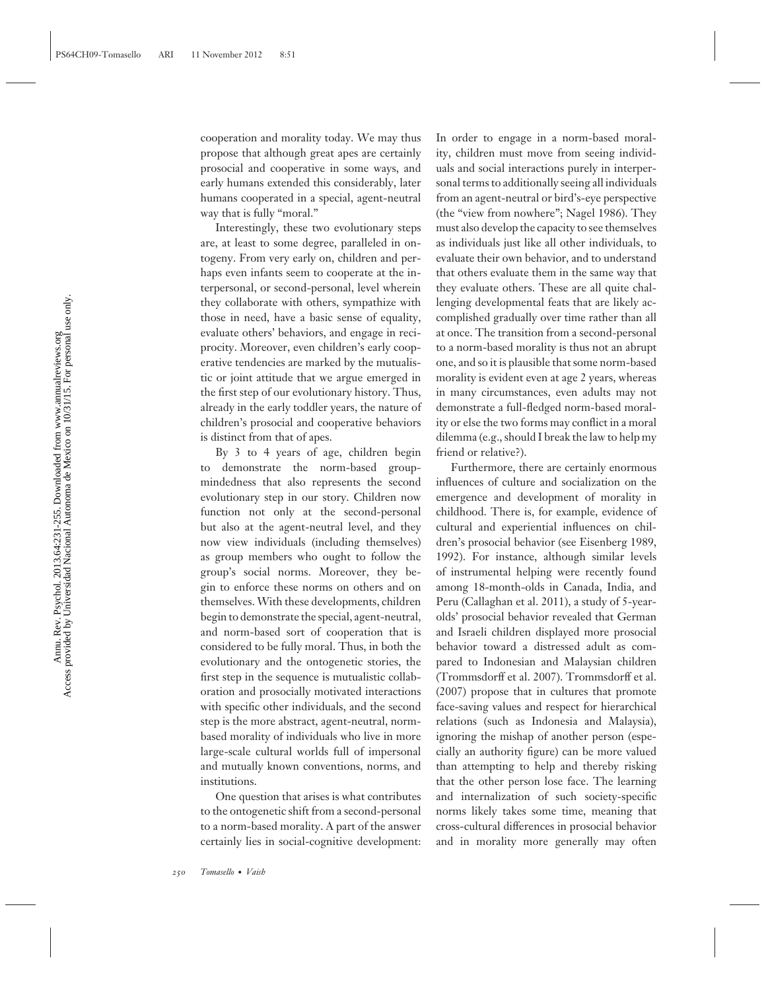cooperation and morality today. We may thus propose that although great apes are certainly prosocial and cooperative in some ways, and early humans extended this considerably, later humans cooperated in a special, agent-neutral way that is fully "moral."

Interestingly, these two evolutionary steps are, at least to some degree, paralleled in ontogeny. From very early on, children and perhaps even infants seem to cooperate at the interpersonal, or second-personal, level wherein they collaborate with others, sympathize with those in need, have a basic sense of equality, evaluate others' behaviors, and engage in reciprocity. Moreover, even children's early cooperative tendencies are marked by the mutualistic or joint attitude that we argue emerged in the first step of our evolutionary history. Thus, already in the early toddler years, the nature of children's prosocial and cooperative behaviors is distinct from that of apes.

By 3 to 4 years of age, children begin to demonstrate the norm-based groupmindedness that also represents the second evolutionary step in our story. Children now function not only at the second-personal but also at the agent-neutral level, and they now view individuals (including themselves) as group members who ought to follow the group's social norms. Moreover, they begin to enforce these norms on others and on themselves. With these developments, children begin to demonstrate the special, agent-neutral, and norm-based sort of cooperation that is considered to be fully moral. Thus, in both the evolutionary and the ontogenetic stories, the first step in the sequence is mutualistic collaboration and prosocially motivated interactions with specific other individuals, and the second step is the more abstract, agent-neutral, normbased morality of individuals who live in more large-scale cultural worlds full of impersonal and mutually known conventions, norms, and institutions.

One question that arises is what contributes to the ontogenetic shift from a second-personal to a norm-based morality. A part of the answer certainly lies in social-cognitive development:

In order to engage in a norm-based morality, children must move from seeing individuals and social interactions purely in interpersonal terms to additionally seeing all individuals from an agent-neutral or bird's-eye perspective (the "view from nowhere"; Nagel 1986). They must also develop the capacity to see themselves as individuals just like all other individuals, to evaluate their own behavior, and to understand that others evaluate them in the same way that they evaluate others. These are all quite challenging developmental feats that are likely accomplished gradually over time rather than all at once. The transition from a second-personal to a norm-based morality is thus not an abrupt one, and so it is plausible that some norm-based morality is evident even at age 2 years, whereas in many circumstances, even adults may not demonstrate a full-fledged norm-based morality or else the two forms may conflict in a moral dilemma (e.g., should I break the law to help my friend or relative?).

Furthermore, there are certainly enormous influences of culture and socialization on the emergence and development of morality in childhood. There is, for example, evidence of cultural and experiential influences on children's prosocial behavior (see Eisenberg 1989, 1992). For instance, although similar levels of instrumental helping were recently found among 18-month-olds in Canada, India, and Peru (Callaghan et al. 2011), a study of 5-yearolds' prosocial behavior revealed that German and Israeli children displayed more prosocial behavior toward a distressed adult as compared to Indonesian and Malaysian children (Trommsdorff et al. 2007). Trommsdorff et al. (2007) propose that in cultures that promote face-saving values and respect for hierarchical relations (such as Indonesia and Malaysia), ignoring the mishap of another person (especially an authority figure) can be more valued than attempting to help and thereby risking that the other person lose face. The learning and internalization of such society-specific norms likely takes some time, meaning that cross-cultural differences in prosocial behavior and in morality more generally may often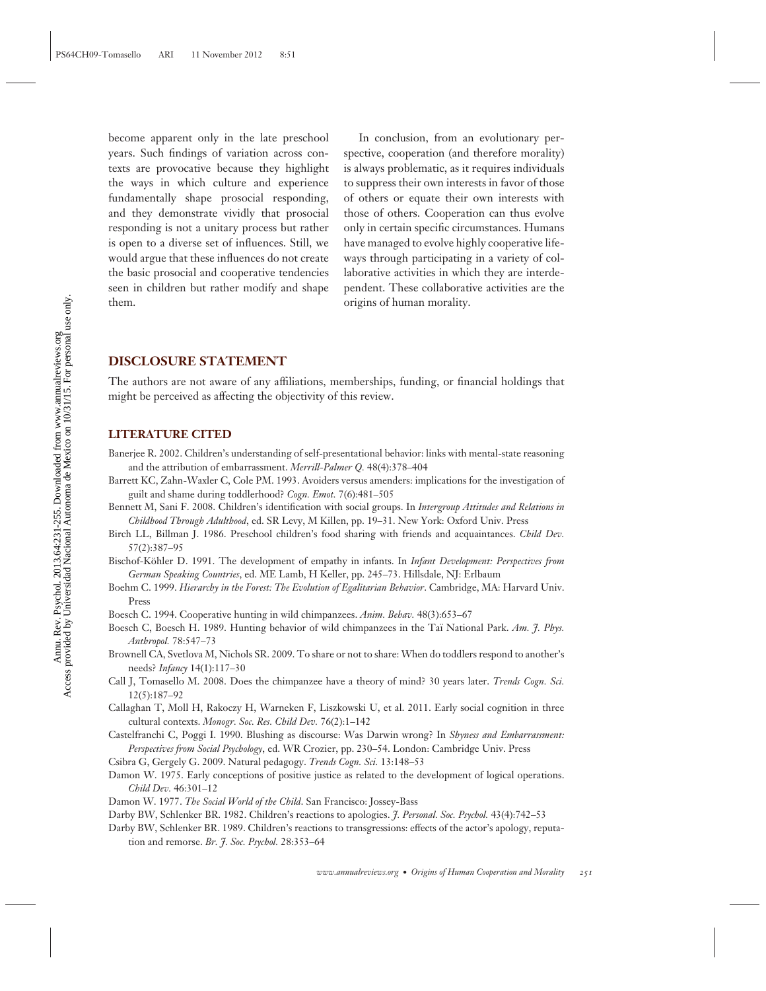become apparent only in the late preschool years. Such findings of variation across contexts are provocative because they highlight the ways in which culture and experience fundamentally shape prosocial responding, and they demonstrate vividly that prosocial responding is not a unitary process but rather is open to a diverse set of influences. Still, we would argue that these influences do not create the basic prosocial and cooperative tendencies seen in children but rather modify and shape them.

In conclusion, from an evolutionary perspective, cooperation (and therefore morality) is always problematic, as it requires individuals to suppress their own interests in favor of those of others or equate their own interests with those of others. Cooperation can thus evolve only in certain specific circumstances. Humans have managed to evolve highly cooperative lifeways through participating in a variety of collaborative activities in which they are interdependent. These collaborative activities are the origins of human morality.

#### **DISCLOSURE STATEMENT**

The authors are not aware of any affiliations, memberships, funding, or financial holdings that might be perceived as affecting the objectivity of this review.

#### **LITERATURE CITED**

- Banerjee R. 2002. Children's understanding of self-presentational behavior: links with mental-state reasoning and the attribution of embarrassment. *Merrill-Palmer Q.* 48(4):378–404
- Barrett KC, Zahn-Waxler C, Cole PM. 1993. Avoiders versus amenders: implications for the investigation of guilt and shame during toddlerhood? *Cogn. Emot.* 7(6):481–505
- Bennett M, Sani F. 2008. Children's identification with social groups. In *Intergroup Attitudes and Relations in Childhood Through Adulthood*, ed. SR Levy, M Killen, pp. 19–31. New York: Oxford Univ. Press
- Birch LL, Billman J. 1986. Preschool children's food sharing with friends and acquaintances. *Child Dev.* 57(2):387–95
- Bischof-Köhler D. 1991. The development of empathy in infants. In *Infant Development: Perspectives from German Speaking Countries*, ed. ME Lamb, H Keller, pp. 245–73. Hillsdale, NJ: Erlbaum
- Boehm C. 1999. *Hierarchy in the Forest: The Evolution of Egalitarian Behavior*. Cambridge, MA: Harvard Univ. Press
- Boesch C. 1994. Cooperative hunting in wild chimpanzees. *Anim. Behav.* 48(3):653–67
- Boesch C, Boesch H. 1989. Hunting behavior of wild chimpanzees in the Ta¨ı National Park. *Am. J. Phys. Anthropol.* 78:547–73
- Brownell CA, Svetlova M, Nichols SR. 2009. To share or not to share: When do toddlers respond to another's needs? *Infancy* 14(1):117–30
- Call J, Tomasello M. 2008. Does the chimpanzee have a theory of mind? 30 years later. *Trends Cogn. Sci.* 12(5):187–92
- Callaghan T, Moll H, Rakoczy H, Warneken F, Liszkowski U, et al. 2011. Early social cognition in three cultural contexts. *Monogr. Soc. Res. Child Dev.* 76(2):1–142
- Castelfranchi C, Poggi I. 1990. Blushing as discourse: Was Darwin wrong? In *Shyness and Embarrassment: Perspectives from Social Psychology*, ed. WR Crozier, pp. 230–54. London: Cambridge Univ. Press
- Csibra G, Gergely G. 2009. Natural pedagogy. *Trends Cogn. Sci.* 13:148–53
- Damon W. 1975. Early conceptions of positive justice as related to the development of logical operations. *Child Dev.* 46:301–12
- Damon W. 1977. *The Social World of the Child*. San Francisco: Jossey-Bass
- Darby BW, Schlenker BR. 1982. Children's reactions to apologies. *J. Personal. Soc. Psychol.* 43(4):742–53
- Darby BW, Schlenker BR. 1989. Children's reactions to transgressions: effects of the actor's apology, reputation and remorse. *Br. J. Soc. Psychol.* 28:353–64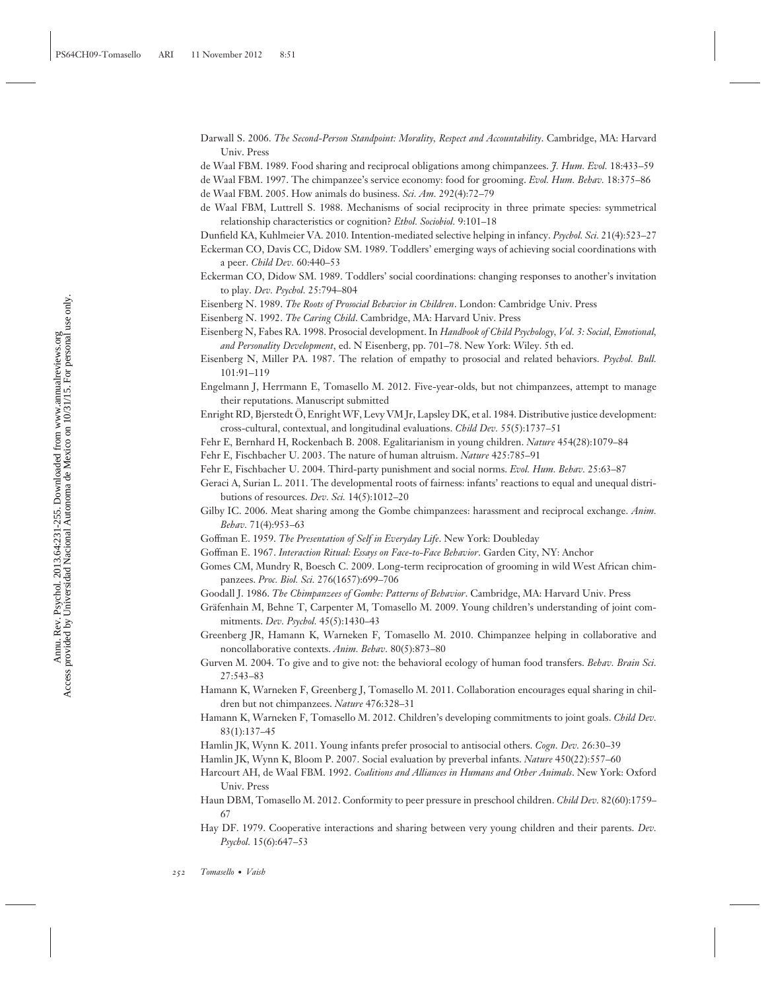- Darwall S. 2006. *The Second-Person Standpoint: Morality, Respect and Accountability*. Cambridge, MA: Harvard Univ. Press
- de Waal FBM. 1989. Food sharing and reciprocal obligations among chimpanzees. *J. Hum. Evol.* 18:433–59

de Waal FBM. 1997. The chimpanzee's service economy: food for grooming. *Evol. Hum. Behav.* 18:375–86

de Waal FBM, Luttrell S. 1988. Mechanisms of social reciprocity in three primate species: symmetrical relationship characteristics or cognition? *Ethol. Sociobiol.* 9:101–18

Dunfield KA, Kuhlmeier VA. 2010. Intention-mediated selective helping in infancy. *Psychol. Sci.* 21(4):523–27

- Eckerman CO, Davis CC, Didow SM. 1989. Toddlers' emerging ways of achieving social coordinations with a peer. *Child Dev.* 60:440–53
- Eckerman CO, Didow SM. 1989. Toddlers' social coordinations: changing responses to another's invitation to play. *Dev. Psychol.* 25:794–804
- Eisenberg N. 1989. *The Roots of Prosocial Behavior in Children*. London: Cambridge Univ. Press
- Eisenberg N. 1992. *The Caring Child*. Cambridge, MA: Harvard Univ. Press
- Eisenberg N, Fabes RA. 1998. Prosocial development. In *Handbook of Child Psychology, Vol. 3: Social, Emotional, and Personality Development*, ed. N Eisenberg, pp. 701–78. New York: Wiley. 5th ed.
- Eisenberg N, Miller PA. 1987. The relation of empathy to prosocial and related behaviors. *Psychol. Bull.* 101:91–119
- Engelmann J, Herrmann E, Tomasello M. 2012. Five-year-olds, but not chimpanzees, attempt to manage their reputations. Manuscript submitted
- Enright RD, Bjerstedt Ö, Enright WF, Levy VM Jr, Lapsley DK, et al. 1984. Distributive justice development: cross-cultural, contextual, and longitudinal evaluations. *Child Dev.* 55(5):1737–51

Fehr E, Bernhard H, Rockenbach B. 2008. Egalitarianism in young children. *Nature* 454(28):1079–84

- Fehr E, Fischbacher U. 2003. The nature of human altruism. *Nature* 425:785–91
- Fehr E, Fischbacher U. 2004. Third-party punishment and social norms. *Evol. Hum. Behav.* 25:63–87
- Geraci A, Surian L. 2011. The developmental roots of fairness: infants' reactions to equal and unequal distributions of resources. *Dev. Sci.* 14(5):1012–20
- Gilby IC. 2006. Meat sharing among the Gombe chimpanzees: harassment and reciprocal exchange. *Anim. Behav.* 71(4):953–63
- Goffman E. 1959. *The Presentation of Self in Everyday Life*. New York: Doubleday
- Goffman E. 1967. *Interaction Ritual: Essays on Face-to-Face Behavior*. Garden City, NY: Anchor
- Gomes CM, Mundry R, Boesch C. 2009. Long-term reciprocation of grooming in wild West African chimpanzees. *Proc. Biol. Sci.* 276(1657):699–706
- Goodall J. 1986. *The Chimpanzees of Gombe: Patterns of Behavior*. Cambridge, MA: Harvard Univ. Press
- Gräfenhain M, Behne T, Carpenter M, Tomasello M. 2009. Young children's understanding of joint commitments. *Dev. Psychol.* 45(5):1430–43
- Greenberg JR, Hamann K, Warneken F, Tomasello M. 2010. Chimpanzee helping in collaborative and noncollaborative contexts. *Anim. Behav.* 80(5):873–80
- Gurven M. 2004. To give and to give not: the behavioral ecology of human food transfers. *Behav. Brain Sci.* 27:543–83
- Hamann K, Warneken F, Greenberg J, Tomasello M. 2011. Collaboration encourages equal sharing in children but not chimpanzees. *Nature* 476:328–31
- Hamann K, Warneken F, Tomasello M. 2012. Children's developing commitments to joint goals. *Child Dev.* 83(1):137–45

Hamlin JK, Wynn K. 2011. Young infants prefer prosocial to antisocial others. *Cogn. Dev.* 26:30–39

- Hamlin JK, Wynn K, Bloom P. 2007. Social evaluation by preverbal infants. *Nature* 450(22):557–60
- Harcourt AH, de Waal FBM. 1992. *Coalitions and Alliances in Humans and Other Animals*. New York: Oxford Univ. Press
- Haun DBM, Tomasello M. 2012. Conformity to peer pressure in preschool children. *Child Dev.* 82(60):1759– 67
- Hay DF. 1979. Cooperative interactions and sharing between very young children and their parents. *Dev. Psychol.* 15(6):647–53

de Waal FBM. 2005. How animals do business. *Sci. Am.* 292(4):72–79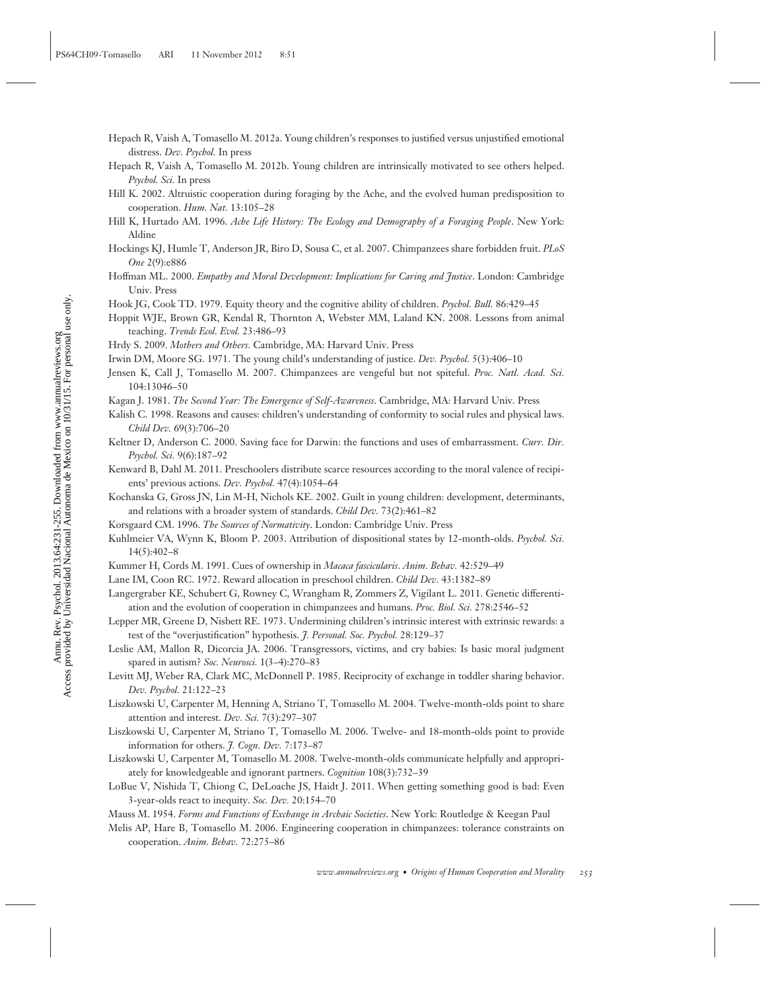- Hepach R, Vaish A, Tomasello M. 2012a. Young children's responses to justified versus unjustified emotional distress. *Dev. Psychol.* In press
- Hepach R, Vaish A, Tomasello M. 2012b. Young children are intrinsically motivated to see others helped. *Psychol. Sci.* In press
- Hill K. 2002. Altruistic cooperation during foraging by the Ache, and the evolved human predisposition to cooperation. *Hum. Nat.* 13:105–28
- Hill K, Hurtado AM. 1996. *Ache Life History: The Ecology and Demography of a Foraging People*. New York: Aldine
- Hockings KJ, Humle T, Anderson JR, Biro D, Sousa C, et al. 2007. Chimpanzees share forbidden fruit. *PLoS One* 2(9):e886
- Hoffman ML. 2000. *Empathy and Moral Development: Implications for Caring and Justice*. London: Cambridge Univ. Press
- Hook JG, Cook TD. 1979. Equity theory and the cognitive ability of children. *Psychol. Bull.* 86:429–45
- Hoppit WJE, Brown GR, Kendal R, Thornton A, Webster MM, Laland KN. 2008. Lessons from animal teaching. *Trends Ecol. Evol.* 23:486–93
- Hrdy S. 2009. *Mothers and Others*. Cambridge, MA: Harvard Univ. Press
- Irwin DM, Moore SG. 1971. The young child's understanding of justice. *Dev. Psychol.* 5(3):406–10
- Jensen K, Call J, Tomasello M. 2007. Chimpanzees are vengeful but not spiteful. *Proc. Natl. Acad. Sci.* 104:13046–50
- Kagan J. 1981. *The Second Year: The Emergence of Self-Awareness*. Cambridge, MA: Harvard Univ. Press
- Kalish C. 1998. Reasons and causes: children's understanding of conformity to social rules and physical laws. *Child Dev.* 69(3):706–20
- Keltner D, Anderson C. 2000. Saving face for Darwin: the functions and uses of embarrassment. *Curr. Dir. Psychol. Sci.* 9(6):187–92
- Kenward B, Dahl M. 2011. Preschoolers distribute scarce resources according to the moral valence of recipients' previous actions. *Dev. Psychol.* 47(4):1054–64
- Kochanska G, Gross JN, Lin M-H, Nichols KE. 2002. Guilt in young children: development, determinants, and relations with a broader system of standards. *Child Dev.* 73(2):461–82
- Korsgaard CM. 1996. *The Sources of Normativity*. London: Cambridge Univ. Press
- Kuhlmeier VA, Wynn K, Bloom P. 2003. Attribution of dispositional states by 12-month-olds. *Psychol. Sci.* 14(5):402–8
- Kummer H, Cords M. 1991. Cues of ownership in *Macaca fascicularis*. *Anim. Behav.* 42:529–49
- Lane IM, Coon RC. 1972. Reward allocation in preschool children. *Child Dev.* 43:1382–89
- Langergraber KE, Schubert G, Rowney C, Wrangham R, Zommers Z, Vigilant L. 2011. Genetic differentiation and the evolution of cooperation in chimpanzees and humans. *Proc. Biol. Sci.* 278:2546–52
- Lepper MR, Greene D, Nisbett RE. 1973. Undermining children's intrinsic interest with extrinsic rewards: a test of the "overjustification" hypothesis. *J. Personal. Soc. Psychol.* 28:129–37
- Leslie AM, Mallon R, Dicorcia JA. 2006. Transgressors, victims, and cry babies: Is basic moral judgment spared in autism? *Soc. Neurosci.* 1(3–4):270–83
- Levitt MJ, Weber RA, Clark MC, McDonnell P. 1985. Reciprocity of exchange in toddler sharing behavior. *Dev. Psychol.* 21:122–23
- Liszkowski U, Carpenter M, Henning A, Striano T, Tomasello M. 2004. Twelve-month-olds point to share attention and interest. *Dev. Sci.* 7(3):297–307
- Liszkowski U, Carpenter M, Striano T, Tomasello M. 2006. Twelve- and 18-month-olds point to provide information for others. *J. Cogn. Dev.* 7:173–87
- Liszkowski U, Carpenter M, Tomasello M. 2008. Twelve-month-olds communicate helpfully and appropriately for knowledgeable and ignorant partners. *Cognition* 108(3):732–39
- LoBue V, Nishida T, Chiong C, DeLoache JS, Haidt J. 2011. When getting something good is bad: Even 3-year-olds react to inequity. *Soc. Dev.* 20:154–70
- Mauss M. 1954. *Forms and Functions of Exchange in Archaic Societies*. New York: Routledge & Keegan Paul
- Melis AP, Hare B, Tomasello M. 2006. Engineering cooperation in chimpanzees: tolerance constraints on cooperation. *Anim. Behav.* 72:275–86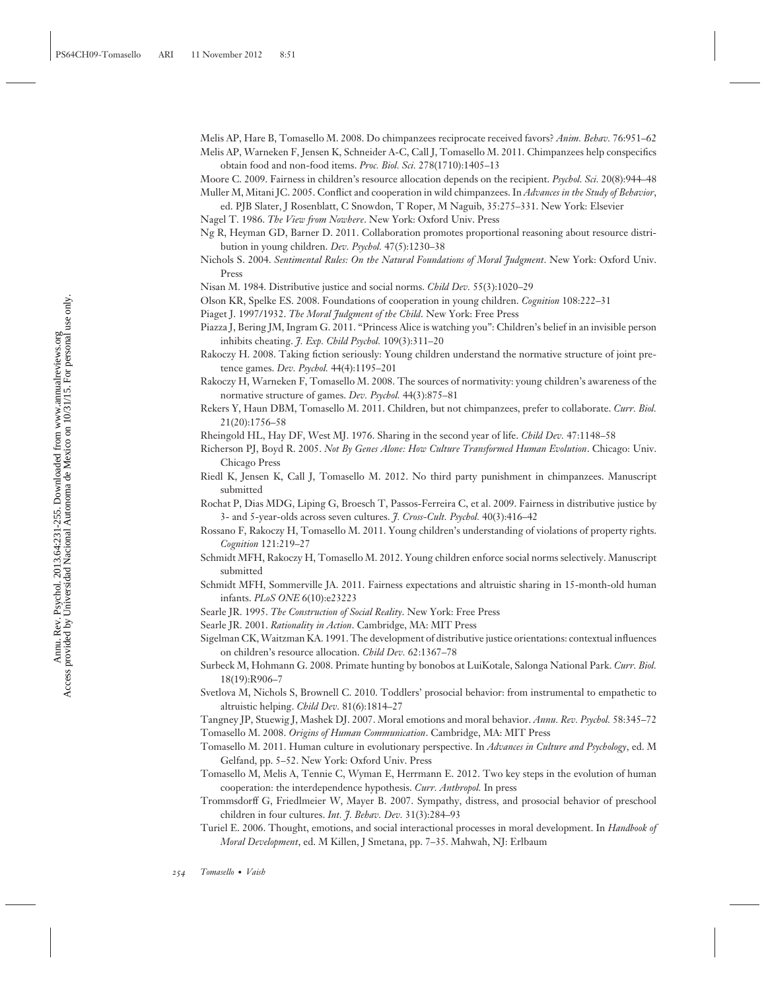Melis AP, Hare B, Tomasello M. 2008. Do chimpanzees reciprocate received favors? *Anim. Behav.* 76:951–62 Melis AP, Warneken F, Jensen K, Schneider A-C, Call J, Tomasello M. 2011. Chimpanzees help conspecifics obtain food and non-food items. *Proc. Biol. Sci.* 278(1710):1405–13

Moore C. 2009. Fairness in children's resource allocation depends on the recipient. *Psychol. Sci.* 20(8):944–48 Muller M, Mitani JC. 2005. Conflict and cooperation in wild chimpanzees. In *Advances in the Study of Behavior*,

ed. PJB Slater, J Rosenblatt, C Snowdon, T Roper, M Naguib, 35:275–331. New York: Elsevier Nagel T. 1986. *The View from Nowhere*. New York: Oxford Univ. Press

- Ng R, Heyman GD, Barner D. 2011. Collaboration promotes proportional reasoning about resource distribution in young children. *Dev. Psychol.* 47(5):1230–38
- Nichols S. 2004. *Sentimental Rules: On the Natural Foundations of Moral Judgment*. New York: Oxford Univ. Press
- Nisan M. 1984. Distributive justice and social norms. *Child Dev.* 55(3):1020–29
- Olson KR, Spelke ES. 2008. Foundations of cooperation in young children. *Cognition* 108:222–31
- Piaget J. 1997/1932. *The Moral Judgment of the Child*. New York: Free Press
- Piazza J, Bering JM, Ingram G. 2011. "Princess Alice is watching you": Children's belief in an invisible person inhibits cheating. *J. Exp. Child Psychol.* 109(3):311–20
- Rakoczy H. 2008. Taking fiction seriously: Young children understand the normative structure of joint pretence games. *Dev. Psychol.* 44(4):1195–201
- Rakoczy H, Warneken F, Tomasello M. 2008. The sources of normativity: young children's awareness of the normative structure of games. *Dev. Psychol.* 44(3):875–81
- Rekers Y, Haun DBM, Tomasello M. 2011. Children, but not chimpanzees, prefer to collaborate. *Curr. Biol.* 21(20):1756–58
- Rheingold HL, Hay DF, West MJ. 1976. Sharing in the second year of life. *Child Dev.* 47:1148–58
- Richerson PJ, Boyd R. 2005. *Not By Genes Alone: How Culture Transformed Human Evolution*. Chicago: Univ. Chicago Press
- Riedl K, Jensen K, Call J, Tomasello M. 2012. No third party punishment in chimpanzees. Manuscript submitted
- Rochat P, Dias MDG, Liping G, Broesch T, Passos-Ferreira C, et al. 2009. Fairness in distributive justice by 3- and 5-year-olds across seven cultures. *J. Cross-Cult. Psychol.* 40(3):416–42
- Rossano F, Rakoczy H, Tomasello M. 2011. Young children's understanding of violations of property rights. *Cognition* 121:219–27
- Schmidt MFH, Rakoczy H, Tomasello M. 2012. Young children enforce social norms selectively. Manuscript submitted
- Schmidt MFH, Sommerville JA. 2011. Fairness expectations and altruistic sharing in 15-month-old human infants. *PLoS ONE* 6(10):e23223
- Searle JR. 1995. *The Construction of Social Reality*. New York: Free Press
- Searle JR. 2001. *Rationality in Action*. Cambridge, MA: MIT Press
- Sigelman CK,Waitzman KA. 1991. The development of distributive justice orientations: contextual influences on children's resource allocation. *Child Dev.* 62:1367–78
- Surbeck M, Hohmann G. 2008. Primate hunting by bonobos at LuiKotale, Salonga National Park. *Curr. Biol.* 18(19):R906–7
- Svetlova M, Nichols S, Brownell C. 2010. Toddlers' prosocial behavior: from instrumental to empathetic to altruistic helping. *Child Dev.* 81(6):1814–27

Tangney JP, Stuewig J, Mashek DJ. 2007. Moral emotions and moral behavior. *Annu. Rev. Psychol.* 58:345–72

- Tomasello M. 2008. *Origins of Human Communication*. Cambridge, MA: MIT Press
- Tomasello M. 2011. Human culture in evolutionary perspective. In *Advances in Culture and Psychology*, ed. M Gelfand, pp. 5–52. New York: Oxford Univ. Press
- Tomasello M, Melis A, Tennie C, Wyman E, Herrmann E. 2012. Two key steps in the evolution of human cooperation: the interdependence hypothesis. *Curr. Anthropol.* In press
- Trommsdorff G, Friedlmeier W, Mayer B. 2007. Sympathy, distress, and prosocial behavior of preschool children in four cultures. *Int. J. Behav. Dev.* 31(3):284–93
- Turiel E. 2006. Thought, emotions, and social interactional processes in moral development. In *Handbook of Moral Development*, ed. M Killen, J Smetana, pp. 7–35. Mahwah, NJ: Erlbaum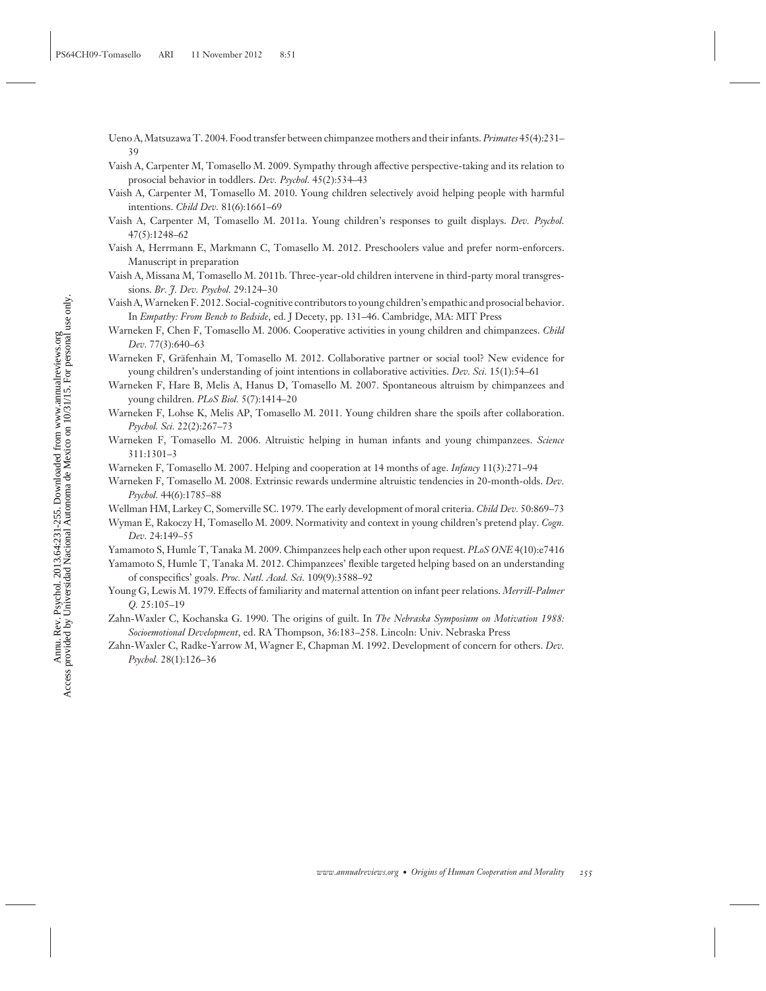- Ueno A,Matsuzawa T. 2004. Food transfer between chimpanzee mothers and their infants. *Primates* 45(4):231– 39
- Vaish A, Carpenter M, Tomasello M. 2009. Sympathy through affective perspective-taking and its relation to prosocial behavior in toddlers. *Dev. Psychol.* 45(2):534–43
- Vaish A, Carpenter M, Tomasello M. 2010. Young children selectively avoid helping people with harmful intentions. *Child Dev.* 81(6):1661–69
- Vaish A, Carpenter M, Tomasello M. 2011a. Young children's responses to guilt displays. *Dev. Psychol.* 47(5):1248–62
- Vaish A, Herrmann E, Markmann C, Tomasello M. 2012. Preschoolers value and prefer norm-enforcers. Manuscript in preparation
- Vaish A, Missana M, Tomasello M. 2011b. Three-year-old children intervene in third-party moral transgressions. *Br. J. Dev. Psychol.* 29:124–30
- Vaish A,Warneken F. 2012. Social-cognitive contributors to young children's empathic and prosocial behavior. In *Empathy: From Bench to Bedside*, ed. J Decety, pp. 131–46. Cambridge, MA: MIT Press
- Warneken F, Chen F, Tomasello M. 2006. Cooperative activities in young children and chimpanzees. *Child Dev.* 77(3):640–63
- Warneken F, Gräfenhain M, Tomasello M. 2012. Collaborative partner or social tool? New evidence for young children's understanding of joint intentions in collaborative activities. *Dev. Sci.* 15(1):54–61
- Warneken F, Hare B, Melis A, Hanus D, Tomasello M. 2007. Spontaneous altruism by chimpanzees and young children. *PLoS Biol.* 5(7):1414–20
- Warneken F, Lohse K, Melis AP, Tomasello M. 2011. Young children share the spoils after collaboration. *Psychol. Sci.* 22(2):267–73
- Warneken F, Tomasello M. 2006. Altruistic helping in human infants and young chimpanzees. *Science* 311:1301–3
- Warneken F, Tomasello M. 2007. Helping and cooperation at 14 months of age. *Infancy* 11(3):271–94
- Warneken F, Tomasello M. 2008. Extrinsic rewards undermine altruistic tendencies in 20-month-olds. *Dev. Psychol.* 44(6):1785–88
- Wellman HM, Larkey C, Somerville SC. 1979. The early development of moral criteria. *Child Dev.* 50:869–73
- Wyman E, Rakoczy H, Tomasello M. 2009. Normativity and context in young children's pretend play. *Cogn. Dev.* 24:149–55
- Yamamoto S, Humle T, Tanaka M. 2009. Chimpanzees help each other upon request. *PLoS ONE* 4(10):e7416
- Yamamoto S, Humle T, Tanaka M. 2012. Chimpanzees' flexible targeted helping based on an understanding of conspecifics' goals. *Proc. Natl. Acad. Sci.* 109(9):3588–92
- Young G, Lewis M. 1979. Effects of familiarity and maternal attention on infant peer relations. *Merrill-Palmer Q.* 25:105–19
- Zahn-Waxler C, Kochanska G. 1990. The origins of guilt. In *The Nebraska Symposium on Motivation 1988: Socioemotional Development*, ed. RA Thompson, 36:183–258. Lincoln: Univ. Nebraska Press
- Zahn-Waxler C, Radke-Yarrow M, Wagner E, Chapman M. 1992. Development of concern for others. *Dev. Psychol.* 28(1):126–36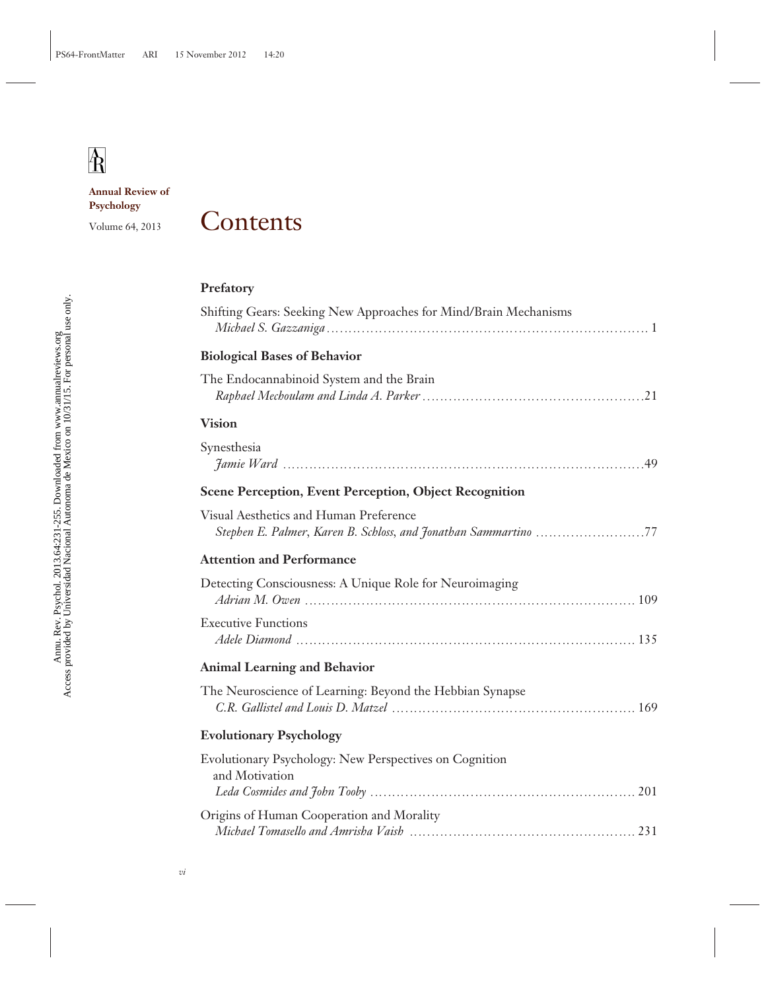#### **Annual Review of Psychology**

## Volume 64, 2013 Contents

### **Prefatory**

| Shifting Gears: Seeking New Approaches for Mind/Brain Mechanisms                                          |
|-----------------------------------------------------------------------------------------------------------|
| <b>Biological Bases of Behavior</b>                                                                       |
| The Endocannabinoid System and the Brain                                                                  |
| <b>Vision</b>                                                                                             |
| Synesthesia                                                                                               |
| Scene Perception, Event Perception, Object Recognition                                                    |
| Visual Aesthetics and Human Preference<br>Stephen E. Palmer, Karen B. Schloss, and Jonathan Sammartino 77 |
| <b>Attention and Performance</b>                                                                          |
| Detecting Consciousness: A Unique Role for Neuroimaging                                                   |
| <b>Executive Functions</b>                                                                                |
| <b>Animal Learning and Behavior</b>                                                                       |
| The Neuroscience of Learning: Beyond the Hebbian Synapse                                                  |
| <b>Evolutionary Psychology</b>                                                                            |
| Evolutionary Psychology: New Perspectives on Cognition<br>and Motivation                                  |
| Origins of Human Cooperation and Morality                                                                 |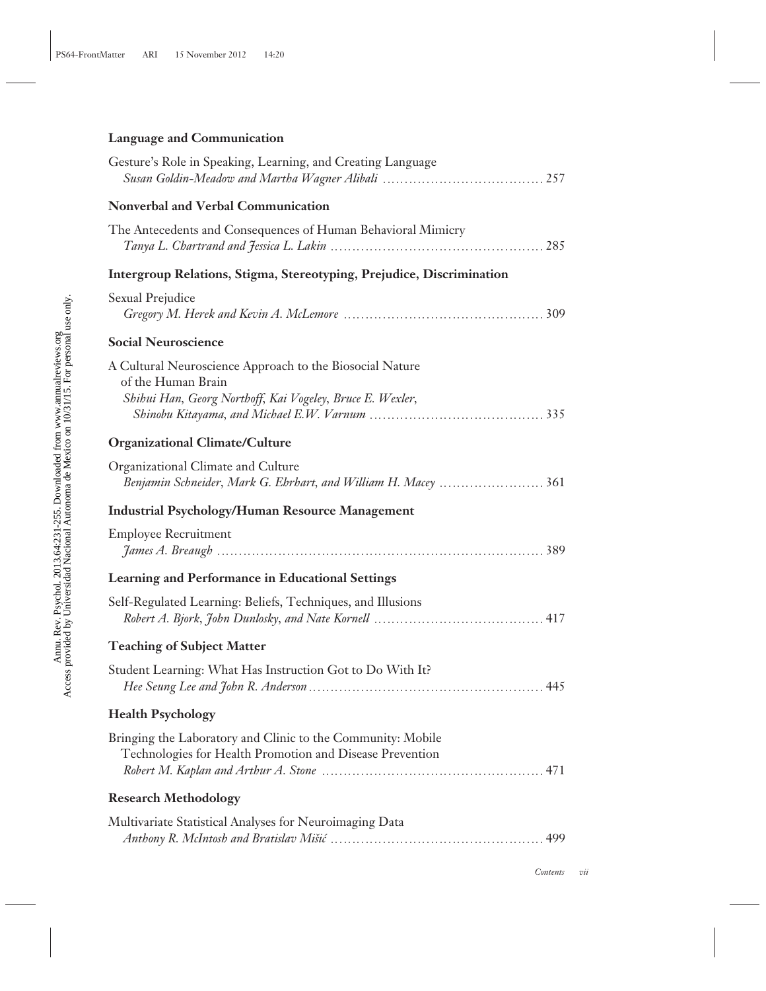## **Language and Communication**

| Gesture's Role in Speaking, Learning, and Creating Language                                                                                 |  |
|---------------------------------------------------------------------------------------------------------------------------------------------|--|
| Nonverbal and Verbal Communication                                                                                                          |  |
| The Antecedents and Consequences of Human Behavioral Mimicry                                                                                |  |
| Intergroup Relations, Stigma, Stereotyping, Prejudice, Discrimination                                                                       |  |
| Sexual Prejudice                                                                                                                            |  |
| <b>Social Neuroscience</b>                                                                                                                  |  |
| A Cultural Neuroscience Approach to the Biosocial Nature<br>of the Human Brain<br>Shihui Han, Georg Northoff, Kai Vogeley, Bruce E. Wexler, |  |
| <b>Organizational Climate/Culture</b>                                                                                                       |  |
| Organizational Climate and Culture<br>Benjamin Schneider, Mark G. Ehrhart, and William H. Macey  361                                        |  |
| <b>Industrial Psychology/Human Resource Management</b>                                                                                      |  |
| <b>Employee Recruitment</b>                                                                                                                 |  |
| <b>Learning and Performance in Educational Settings</b>                                                                                     |  |
| Self-Regulated Learning: Beliefs, Techniques, and Illusions                                                                                 |  |
| <b>Teaching of Subject Matter</b>                                                                                                           |  |
| Student Learning: What Has Instruction Got to Do With It?                                                                                   |  |
| <b>Health Psychology</b>                                                                                                                    |  |
| Bringing the Laboratory and Clinic to the Community: Mobile<br>Technologies for Health Promotion and Disease Prevention                     |  |
| <b>Research Methodology</b>                                                                                                                 |  |
| Multivariate Statistical Analyses for Neuroimaging Data                                                                                     |  |
|                                                                                                                                             |  |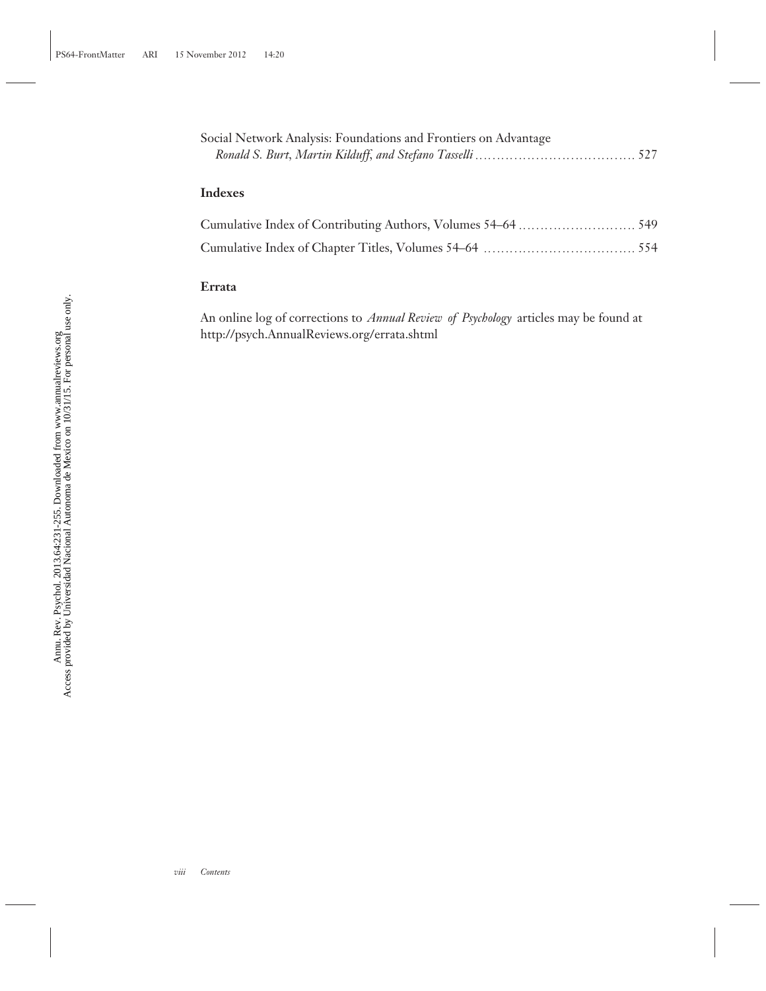| Social Network Analysis: Foundations and Frontiers on Advantage |  |
|-----------------------------------------------------------------|--|
|                                                                 |  |

### **Indexes**

#### **Errata**

An online log of corrections to *Annual Review of Psychology* articles may be found at http://psych.AnnualReviews.org/errata.shtml